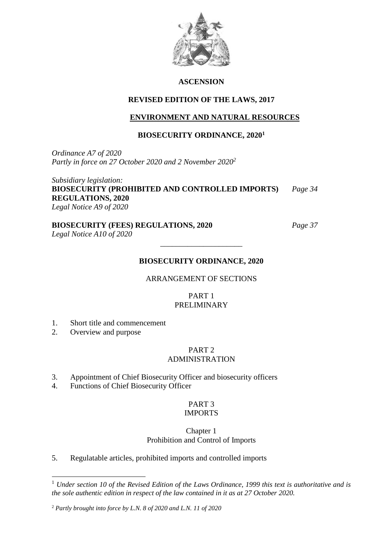

## **ASCENSION**

# **REVISED EDITION OF THE LAWS, 2017**

# **ENVIRONMENT AND NATURAL RESOURCES**

# **BIOSECURITY ORDINANCE, 2020<sup>1</sup>**

*Ordinance A7 of 2020 Partly in force on 27 October 2020 and 2 November 2020<sup>2</sup>*

*Subsidiary legislation:* **BIOSECURITY (PROHIBITED AND CONTROLLED IMPORTS)** *Page 34* **REGULATIONS, 2020** *Legal Notice A9 of 2020*

# **BIOSECURITY (FEES) REGULATIONS, 2020** *Page 37*

*Legal Notice A10 of 2020*

# **BIOSECURITY ORDINANCE, 2020**

\_\_\_\_\_\_\_\_\_\_\_\_\_\_\_\_\_\_\_\_\_

## ARRANGEMENT OF SECTIONS

# PART 1 PRELIMINARY

- 1. Short title and commencement
- 2. Overview and purpose

**.** 

# PART 2

# ADMINISTRATION

- 3. Appointment of Chief Biosecurity Officer and biosecurity officers
- 4. Functions of Chief Biosecurity Officer

## PART 3 IMPORTS

## Chapter 1 Prohibition and Control of Imports

5. Regulatable articles, prohibited imports and controlled imports

<sup>1</sup> *Under section 10 of the Revised Edition of the Laws Ordinance, 1999 this text is authoritative and is the sole authentic edition in respect of the law contained in it as at 27 October 2020.*

<sup>2</sup> *Partly brought into force by L.N. 8 of 2020 and L.N. 11 of 2020*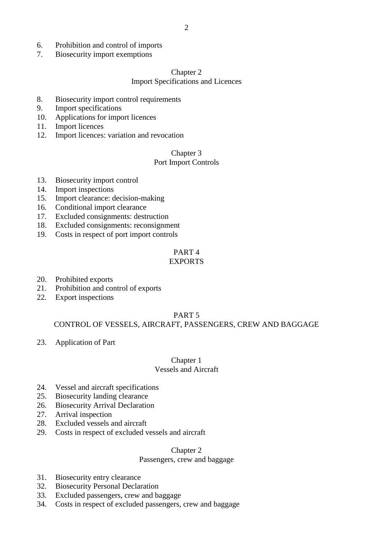- 6. Prohibition and control of imports
- 7. Biosecurity import exemptions

#### Chapter 2

#### Import Specifications and Licences

- 8. Biosecurity import control requirements
- 9. Import specifications
- 10. Applications for import licences
- 11. Import licences
- 12. Import licences: variation and revocation

## Chapter 3

#### Port Import Controls

- 13. Biosecurity import control
- 14. Import inspections
- 15. Import clearance: decision-making
- 16. Conditional import clearance
- 17. Excluded consignments: destruction
- 18. Excluded consignments: reconsignment
- 19. Costs in respect of port import controls

# PART 4

## EXPORTS

- 20. Prohibited exports
- 21. Prohibition and control of exports
- 22. Export inspections

#### PART 5

## CONTROL OF VESSELS, AIRCRAFT, PASSENGERS, CREW AND BAGGAGE

23. Application of Part

# Chapter 1

# Vessels and Aircraft

- 24. Vessel and aircraft specifications
- 25. Biosecurity landing clearance
- 26. Biosecurity Arrival Declaration
- 27. Arrival inspection
- 28. Excluded vessels and aircraft
- 29. Costs in respect of excluded vessels and aircraft

#### Chapter 2

#### Passengers, crew and baggage

- 31. Biosecurity entry clearance
- 32. Biosecurity Personal Declaration
- 33. Excluded passengers, crew and baggage
- 34. Costs in respect of excluded passengers, crew and baggage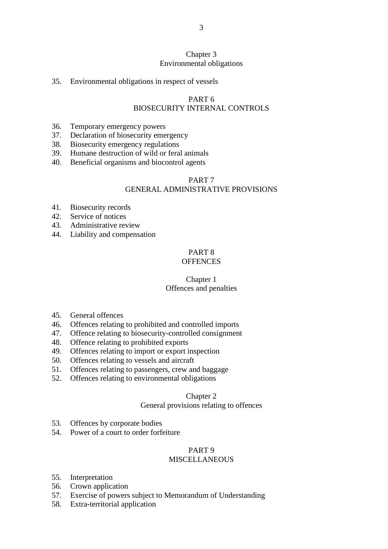## Chapter 3 Environmental obligations

#### 35. Environmental obligations in respect of vessels

#### PART 6

#### BIOSECURITY INTERNAL CONTROLS

- 36. Temporary emergency powers
- 37. Declaration of biosecurity emergency
- 38. Biosecurity emergency regulations
- 39. Humane destruction of wild or feral animals
- 40. Beneficial organisms and biocontrol agents

# PART 7

# GENERAL ADMINISTRATIVE PROVISIONS

- 41. Biosecurity records
- 42. Service of notices
- 43. Administrative review
- 44. Liability and compensation

# PART 8

# **OFFENCES**

# Chapter 1

# Offences and penalties

- 45. General offences
- 46. Offences relating to prohibited and controlled imports
- 47. Offence relating to biosecurity-controlled consignment
- 48. Offence relating to prohibited exports
- 49. Offences relating to import or export inspection
- 50. Offences relating to vessels and aircraft
- 51. Offences relating to passengers, crew and baggage
- 52. Offences relating to environmental obligations

#### Chapter 2

#### General provisions relating to offences

- 53. Offences by corporate bodies
- 54. Power of a court to order forfeiture

#### PART 9

#### **MISCELLANEOUS**

- 55. Interpretation
- 56. Crown application
- 57. Exercise of powers subject to Memorandum of Understanding
- 58. Extra-territorial application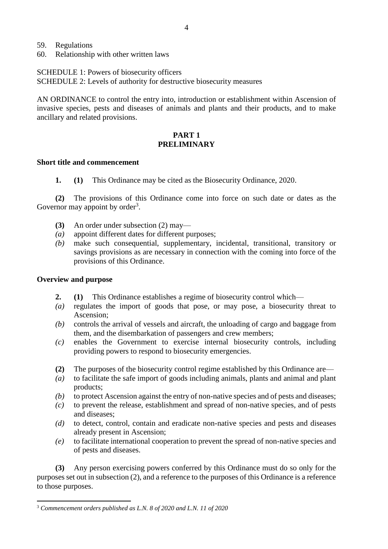- 59. Regulations
- 60. Relationship with other written laws

SCHEDULE 1: Powers of biosecurity officers

SCHEDULE 2: Levels of authority for destructive biosecurity measures

AN ORDINANCE to control the entry into, introduction or establishment within Ascension of invasive species, pests and diseases of animals and plants and their products, and to make ancillary and related provisions.

## **PART 1 PRELIMINARY**

#### **Short title and commencement**

**1. (1)** This Ordinance may be cited as the Biosecurity Ordinance, 2020.

**(2)** The provisions of this Ordinance come into force on such date or dates as the Governor may appoint by order<sup>3</sup>.

- **(3)** An order under subsection (2) may—
- *(a)* appoint different dates for different purposes;
- *(b)* make such consequential, supplementary, incidental, transitional, transitory or savings provisions as are necessary in connection with the coming into force of the provisions of this Ordinance.

## **Overview and purpose**

**.** 

- **2. (1)** This Ordinance establishes a regime of biosecurity control which—
- *(a)* regulates the import of goods that pose, or may pose, a biosecurity threat to Ascension;
- *(b)* controls the arrival of vessels and aircraft, the unloading of cargo and baggage from them, and the disembarkation of passengers and crew members;
- *(c)* enables the Government to exercise internal biosecurity controls, including providing powers to respond to biosecurity emergencies.
- **(2)** The purposes of the biosecurity control regime established by this Ordinance are—
- *(a)* to facilitate the safe import of goods including animals, plants and animal and plant products;
- *(b)* to protect Ascension against the entry of non-native species and of pests and diseases;
- *(c)* to prevent the release, establishment and spread of non-native species, and of pests and diseases;
- *(d)* to detect, control, contain and eradicate non-native species and pests and diseases already present in Ascension;
- *(e)* to facilitate international cooperation to prevent the spread of non-native species and of pests and diseases.

**(3)** Any person exercising powers conferred by this Ordinance must do so only for the purposes set out in subsection (2), and a reference to the purposes of this Ordinance is a reference to those purposes.

<sup>3</sup> *Commencement orders published as L.N. 8 of 2020 and L.N. 11 of 2020*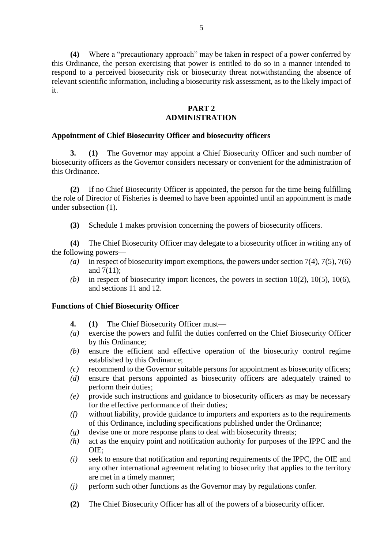**(4)** Where a "precautionary approach" may be taken in respect of a power conferred by this Ordinance, the person exercising that power is entitled to do so in a manner intended to respond to a perceived biosecurity risk or biosecurity threat notwithstanding the absence of relevant scientific information, including a biosecurity risk assessment, as to the likely impact of it.

## **PART 2 ADMINISTRATION**

## **Appointment of Chief Biosecurity Officer and biosecurity officers**

**3. (1)** The Governor may appoint a Chief Biosecurity Officer and such number of biosecurity officers as the Governor considers necessary or convenient for the administration of this Ordinance.

**(2)** If no Chief Biosecurity Officer is appointed, the person for the time being fulfilling the role of Director of Fisheries is deemed to have been appointed until an appointment is made under subsection (1).

**(3)** Schedule 1 makes provision concerning the powers of biosecurity officers.

**(4)** The Chief Biosecurity Officer may delegate to a biosecurity officer in writing any of the following powers—

- *(a)* in respect of biosecurity import exemptions, the powers under section 7(4), 7(5), 7(6) and 7(11);
- (b) in respect of biosecurity import licences, the powers in section  $10(2)$ ,  $10(5)$ ,  $10(6)$ , and sections 11 and 12.

#### **Functions of Chief Biosecurity Officer**

- **4. (1)** The Chief Biosecurity Officer must—
- *(a)* exercise the powers and fulfil the duties conferred on the Chief Biosecurity Officer by this Ordinance;
- *(b)* ensure the efficient and effective operation of the biosecurity control regime established by this Ordinance;
- *(c)* recommend to the Governor suitable persons for appointment as biosecurity officers;
- *(d)* ensure that persons appointed as biosecurity officers are adequately trained to perform their duties;
- *(e)* provide such instructions and guidance to biosecurity officers as may be necessary for the effective performance of their duties;
- *(f)* without liability, provide guidance to importers and exporters as to the requirements of this Ordinance, including specifications published under the Ordinance;
- *(g)* devise one or more response plans to deal with biosecurity threats;
- *(h)* act as the enquiry point and notification authority for purposes of the IPPC and the OIE;
- *(i)* seek to ensure that notification and reporting requirements of the IPPC, the OIE and any other international agreement relating to biosecurity that applies to the territory are met in a timely manner;
- *(j)* perform such other functions as the Governor may by regulations confer.
- **(2)** The Chief Biosecurity Officer has all of the powers of a biosecurity officer.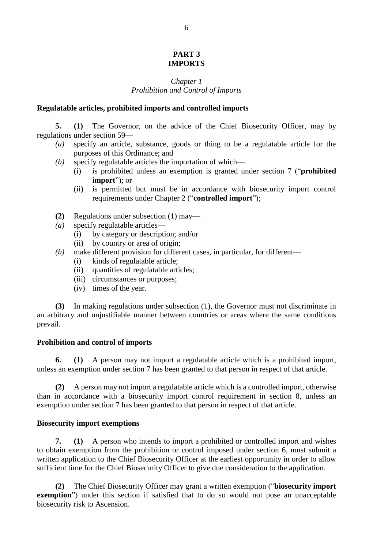## **PART 3 IMPORTS**

#### *Chapter 1 Prohibition and Control of Imports*

#### **Regulatable articles, prohibited imports and controlled imports**

**5. (1)** The Governor, on the advice of the Chief Biosecurity Officer, may by regulations under section 59—

- *(a)* specify an article, substance, goods or thing to be a regulatable article for the purposes of this Ordinance; and
- *(b)* specify regulatable articles the importation of which—
	- (i) is prohibited unless an exemption is granted under section 7 ("**prohibited import**"); or
	- (ii) is permitted but must be in accordance with biosecurity import control requirements under Chapter 2 ("**controlled import**");
- **(2)** Regulations under subsection (1) may—
- *(a)* specify regulatable articles—
	- (i) by category or description; and/or
	- (ii) by country or area of origin;
- *(b)* make different provision for different cases, in particular, for different—
	- (i) kinds of regulatable article;
	- (ii) quantities of regulatable articles;
	- (iii) circumstances or purposes;
	- (iv) times of the year.

**(3)** In making regulations under subsection (1), the Governor must not discriminate in an arbitrary and unjustifiable manner between countries or areas where the same conditions prevail.

#### **Prohibition and control of imports**

**6. (1)** A person may not import a regulatable article which is a prohibited import, unless an exemption under section 7 has been granted to that person in respect of that article.

**(2)** A person may not import a regulatable article which is a controlled import, otherwise than in accordance with a biosecurity import control requirement in section 8, unless an exemption under section 7 has been granted to that person in respect of that article.

#### **Biosecurity import exemptions**

**7. (1)** A person who intends to import a prohibited or controlled import and wishes to obtain exemption from the prohibition or control imposed under section 6, must submit a written application to the Chief Biosecurity Officer at the earliest opportunity in order to allow sufficient time for the Chief Biosecurity Officer to give due consideration to the application.

**(2)** The Chief Biosecurity Officer may grant a written exemption ("**biosecurity import exemption**") under this section if satisfied that to do so would not pose an unacceptable biosecurity risk to Ascension.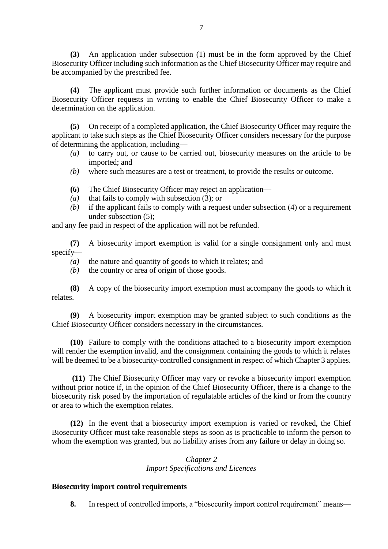**(3)** An application under subsection (1) must be in the form approved by the Chief Biosecurity Officer including such information as the Chief Biosecurity Officer may require and be accompanied by the prescribed fee.

**(4)** The applicant must provide such further information or documents as the Chief Biosecurity Officer requests in writing to enable the Chief Biosecurity Officer to make a determination on the application.

**(5)** On receipt of a completed application, the Chief Biosecurity Officer may require the applicant to take such steps as the Chief Biosecurity Officer considers necessary for the purpose of determining the application, including—

- *(a)* to carry out, or cause to be carried out, biosecurity measures on the article to be imported; and
- *(b)* where such measures are a test or treatment, to provide the results or outcome.
- **(6)** The Chief Biosecurity Officer may reject an application—
- *(a)* that fails to comply with subsection (3); or
- *(b)* if the applicant fails to comply with a request under subsection (4) or a requirement under subsection (5);

and any fee paid in respect of the application will not be refunded.

**(7)** A biosecurity import exemption is valid for a single consignment only and must specify—

- *(a)* the nature and quantity of goods to which it relates; and
- *(b)* the country or area of origin of those goods.

**(8)** A copy of the biosecurity import exemption must accompany the goods to which it relates.

**(9)** A biosecurity import exemption may be granted subject to such conditions as the Chief Biosecurity Officer considers necessary in the circumstances.

**(10)** Failure to comply with the conditions attached to a biosecurity import exemption will render the exemption invalid, and the consignment containing the goods to which it relates will be deemed to be a biosecurity-controlled consignment in respect of which Chapter 3 applies.

**(11)** The Chief Biosecurity Officer may vary or revoke a biosecurity import exemption without prior notice if, in the opinion of the Chief Biosecurity Officer, there is a change to the biosecurity risk posed by the importation of regulatable articles of the kind or from the country or area to which the exemption relates.

**(12)** In the event that a biosecurity import exemption is varied or revoked, the Chief Biosecurity Officer must take reasonable steps as soon as is practicable to inform the person to whom the exemption was granted, but no liability arises from any failure or delay in doing so.

## *Chapter 2 Import Specifications and Licences*

## **Biosecurity import control requirements**

**8.** In respect of controlled imports, a "biosecurity import control requirement" means—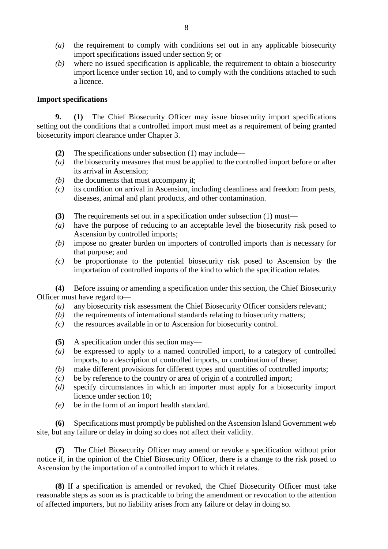- *(a)* the requirement to comply with conditions set out in any applicable biosecurity import specifications issued under section 9; or
- *(b)* where no issued specification is applicable, the requirement to obtain a biosecurity import licence under section 10, and to comply with the conditions attached to such a licence.

#### **Import specifications**

**9. (1)** The Chief Biosecurity Officer may issue biosecurity import specifications setting out the conditions that a controlled import must meet as a requirement of being granted biosecurity import clearance under Chapter 3.

- **(2)** The specifications under subsection (1) may include—
- *(a)* the biosecurity measures that must be applied to the controlled import before or after its arrival in Ascension;
- *(b)* the documents that must accompany it;
- *(c)* its condition on arrival in Ascension, including cleanliness and freedom from pests, diseases, animal and plant products, and other contamination.
- **(3)** The requirements set out in a specification under subsection (1) must—
- *(a)* have the purpose of reducing to an acceptable level the biosecurity risk posed to Ascension by controlled imports;
- *(b)* impose no greater burden on importers of controlled imports than is necessary for that purpose; and
- *(c)* be proportionate to the potential biosecurity risk posed to Ascension by the importation of controlled imports of the kind to which the specification relates.

**(4)** Before issuing or amending a specification under this section, the Chief Biosecurity Officer must have regard to—

- *(a)* any biosecurity risk assessment the Chief Biosecurity Officer considers relevant;
- *(b)* the requirements of international standards relating to biosecurity matters;
- *(c)* the resources available in or to Ascension for biosecurity control.
- **(5)** A specification under this section may—
- *(a)* be expressed to apply to a named controlled import, to a category of controlled imports, to a description of controlled imports, or combination of these;
- *(b)* make different provisions for different types and quantities of controlled imports;
- *(c)* be by reference to the country or area of origin of a controlled import;
- *(d)* specify circumstances in which an importer must apply for a biosecurity import licence under section 10;
- *(e)* be in the form of an import health standard.

**(6)** Specifications must promptly be published on the Ascension Island Government web site, but any failure or delay in doing so does not affect their validity.

**(7)** The Chief Biosecurity Officer may amend or revoke a specification without prior notice if, in the opinion of the Chief Biosecurity Officer, there is a change to the risk posed to Ascension by the importation of a controlled import to which it relates.

**(8)** If a specification is amended or revoked, the Chief Biosecurity Officer must take reasonable steps as soon as is practicable to bring the amendment or revocation to the attention of affected importers, but no liability arises from any failure or delay in doing so.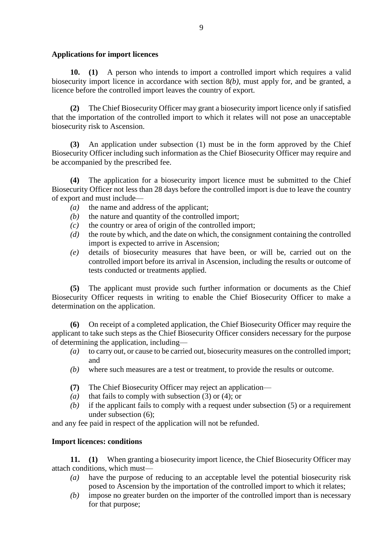## **Applications for import licences**

**10. (1)** A person who intends to import a controlled import which requires a valid biosecurity import licence in accordance with section 8*(b)*, must apply for, and be granted, a licence before the controlled import leaves the country of export.

**(2)** The Chief Biosecurity Officer may grant a biosecurity import licence only if satisfied that the importation of the controlled import to which it relates will not pose an unacceptable biosecurity risk to Ascension.

**(3)** An application under subsection (1) must be in the form approved by the Chief Biosecurity Officer including such information as the Chief Biosecurity Officer may require and be accompanied by the prescribed fee.

**(4)** The application for a biosecurity import licence must be submitted to the Chief Biosecurity Officer not less than 28 days before the controlled import is due to leave the country of export and must include—

- *(a)* the name and address of the applicant;
- *(b)* the nature and quantity of the controlled import;
- *(c)* the country or area of origin of the controlled import;
- *(d)* the route by which, and the date on which, the consignment containing the controlled import is expected to arrive in Ascension;
- *(e)* details of biosecurity measures that have been, or will be, carried out on the controlled import before its arrival in Ascension, including the results or outcome of tests conducted or treatments applied.

**(5)** The applicant must provide such further information or documents as the Chief Biosecurity Officer requests in writing to enable the Chief Biosecurity Officer to make a determination on the application.

**(6)** On receipt of a completed application, the Chief Biosecurity Officer may require the applicant to take such steps as the Chief Biosecurity Officer considers necessary for the purpose of determining the application, including—

- *(a)* to carry out, or cause to be carried out, biosecurity measures on the controlled import; and
- *(b)* where such measures are a test or treatment, to provide the results or outcome.
- **(7)** The Chief Biosecurity Officer may reject an application—
- *(a)* that fails to comply with subsection (3) or (4); or
- *(b)* if the applicant fails to comply with a request under subsection (5) or a requirement under subsection (6);

and any fee paid in respect of the application will not be refunded.

# **Import licences: conditions**

**11. (1)** When granting a biosecurity import licence, the Chief Biosecurity Officer may attach conditions, which must—

- *(a)* have the purpose of reducing to an acceptable level the potential biosecurity risk posed to Ascension by the importation of the controlled import to which it relates;
- *(b)* impose no greater burden on the importer of the controlled import than is necessary for that purpose;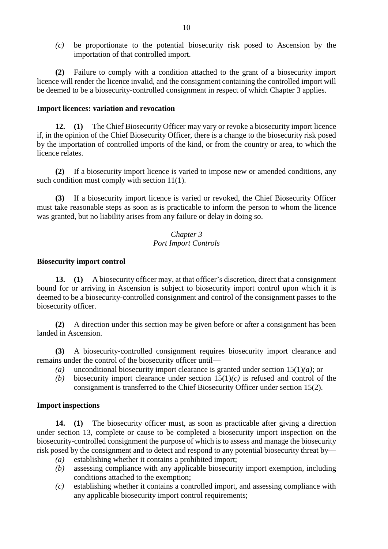*(c)* be proportionate to the potential biosecurity risk posed to Ascension by the importation of that controlled import.

**(2)** Failure to comply with a condition attached to the grant of a biosecurity import licence will render the licence invalid, and the consignment containing the controlled import will be deemed to be a biosecurity-controlled consignment in respect of which Chapter 3 applies.

#### **Import licences: variation and revocation**

**12. (1)** The Chief Biosecurity Officer may vary or revoke a biosecurity import licence if, in the opinion of the Chief Biosecurity Officer, there is a change to the biosecurity risk posed by the importation of controlled imports of the kind, or from the country or area, to which the licence relates.

**(2)** If a biosecurity import licence is varied to impose new or amended conditions, any such condition must comply with section 11(1).

**(3)** If a biosecurity import licence is varied or revoked, the Chief Biosecurity Officer must take reasonable steps as soon as is practicable to inform the person to whom the licence was granted, but no liability arises from any failure or delay in doing so.

## *Chapter 3 Port Import Controls*

#### **Biosecurity import control**

**13. (1)** A biosecurity officer may, at that officer's discretion, direct that a consignment bound for or arriving in Ascension is subject to biosecurity import control upon which it is deemed to be a biosecurity-controlled consignment and control of the consignment passes to the biosecurity officer.

**(2)** A direction under this section may be given before or after a consignment has been landed in Ascension.

**(3)** A biosecurity-controlled consignment requires biosecurity import clearance and remains under the control of the biosecurity officer until—

- *(a)* unconditional biosecurity import clearance is granted under section 15(1)*(a)*; or
- *(b)* biosecurity import clearance under section  $15(1)(c)$  is refused and control of the consignment is transferred to the Chief Biosecurity Officer under section 15(2).

## **Import inspections**

**14. (1)** The biosecurity officer must, as soon as practicable after giving a direction under section 13, complete or cause to be completed a biosecurity import inspection on the biosecurity-controlled consignment the purpose of which is to assess and manage the biosecurity risk posed by the consignment and to detect and respond to any potential biosecurity threat by—

- *(a)* establishing whether it contains a prohibited import;
- *(b)* assessing compliance with any applicable biosecurity import exemption, including conditions attached to the exemption;
- *(c)* establishing whether it contains a controlled import, and assessing compliance with any applicable biosecurity import control requirements;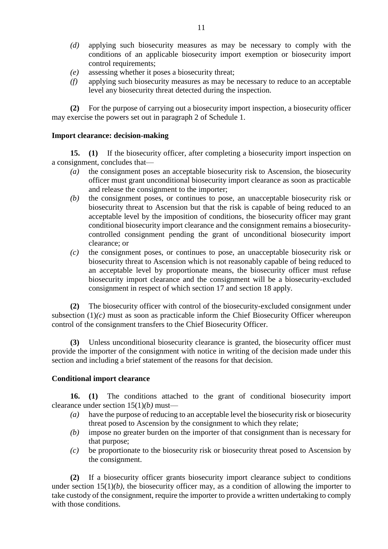- *(d)* applying such biosecurity measures as may be necessary to comply with the conditions of an applicable biosecurity import exemption or biosecurity import control requirements;
- *(e)* assessing whether it poses a biosecurity threat;
- *(f)* applying such biosecurity measures as may be necessary to reduce to an acceptable level any biosecurity threat detected during the inspection.

**(2)** For the purpose of carrying out a biosecurity import inspection, a biosecurity officer may exercise the powers set out in paragraph 2 of Schedule 1.

#### **Import clearance: decision-making**

**15. (1)** If the biosecurity officer, after completing a biosecurity import inspection on a consignment, concludes that—

- *(a)* the consignment poses an acceptable biosecurity risk to Ascension, the biosecurity officer must grant unconditional biosecurity import clearance as soon as practicable and release the consignment to the importer;
- *(b)* the consignment poses, or continues to pose, an unacceptable biosecurity risk or biosecurity threat to Ascension but that the risk is capable of being reduced to an acceptable level by the imposition of conditions, the biosecurity officer may grant conditional biosecurity import clearance and the consignment remains a biosecuritycontrolled consignment pending the grant of unconditional biosecurity import clearance; or
- *(c)* the consignment poses, or continues to pose, an unacceptable biosecurity risk or biosecurity threat to Ascension which is not reasonably capable of being reduced to an acceptable level by proportionate means, the biosecurity officer must refuse biosecurity import clearance and the consignment will be a biosecurity-excluded consignment in respect of which section 17 and section 18 apply.

**(2)** The biosecurity officer with control of the biosecurity-excluded consignment under subsection  $(1)(c)$  must as soon as practicable inform the Chief Biosecurity Officer whereupon control of the consignment transfers to the Chief Biosecurity Officer.

**(3)** Unless unconditional biosecurity clearance is granted, the biosecurity officer must provide the importer of the consignment with notice in writing of the decision made under this section and including a brief statement of the reasons for that decision.

## **Conditional import clearance**

**16. (1)** The conditions attached to the grant of conditional biosecurity import clearance under section 15(1)*(b)* must—

- *(a)* have the purpose of reducing to an acceptable level the biosecurity risk or biosecurity threat posed to Ascension by the consignment to which they relate;
- *(b)* impose no greater burden on the importer of that consignment than is necessary for that purpose;
- *(c)* be proportionate to the biosecurity risk or biosecurity threat posed to Ascension by the consignment.

**(2)** If a biosecurity officer grants biosecurity import clearance subject to conditions under section  $15(1)(b)$ , the biosecurity officer may, as a condition of allowing the importer to take custody of the consignment, require the importer to provide a written undertaking to comply with those conditions.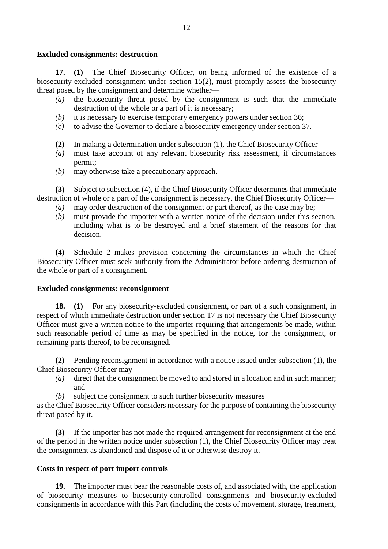#### **Excluded consignments: destruction**

**17. (1)** The Chief Biosecurity Officer, on being informed of the existence of a biosecurity-excluded consignment under section 15(2), must promptly assess the biosecurity threat posed by the consignment and determine whether—

- *(a)* the biosecurity threat posed by the consignment is such that the immediate destruction of the whole or a part of it is necessary;
- *(b)* it is necessary to exercise temporary emergency powers under section 36;
- *(c)* to advise the Governor to declare a biosecurity emergency under section 37.
- **(2)** In making a determination under subsection (1), the Chief Biosecurity Officer—
- *(a)* must take account of any relevant biosecurity risk assessment, if circumstances permit;
- *(b)* may otherwise take a precautionary approach.

**(3)** Subject to subsection (4), if the Chief Biosecurity Officer determines that immediate destruction of whole or a part of the consignment is necessary, the Chief Biosecurity Officer—

- *(a)* may order destruction of the consignment or part thereof, as the case may be;
- *(b)* must provide the importer with a written notice of the decision under this section, including what is to be destroyed and a brief statement of the reasons for that decision.

**(4)** Schedule 2 makes provision concerning the circumstances in which the Chief Biosecurity Officer must seek authority from the Administrator before ordering destruction of the whole or part of a consignment.

## **Excluded consignments: reconsignment**

**18. (1)** For any biosecurity-excluded consignment, or part of a such consignment, in respect of which immediate destruction under section 17 is not necessary the Chief Biosecurity Officer must give a written notice to the importer requiring that arrangements be made, within such reasonable period of time as may be specified in the notice, for the consignment, or remaining parts thereof, to be reconsigned.

**(2)** Pending reconsignment in accordance with a notice issued under subsection (1), the Chief Biosecurity Officer may—

- *(a)* direct that the consignment be moved to and stored in a location and in such manner; and
- *(b)* subject the consignment to such further biosecurity measures

as the Chief Biosecurity Officer considers necessary for the purpose of containing the biosecurity threat posed by it.

**(3)** If the importer has not made the required arrangement for reconsignment at the end of the period in the written notice under subsection (1), the Chief Biosecurity Officer may treat the consignment as abandoned and dispose of it or otherwise destroy it.

## **Costs in respect of port import controls**

**19.** The importer must bear the reasonable costs of, and associated with, the application of biosecurity measures to biosecurity-controlled consignments and biosecurity-excluded consignments in accordance with this Part (including the costs of movement, storage, treatment,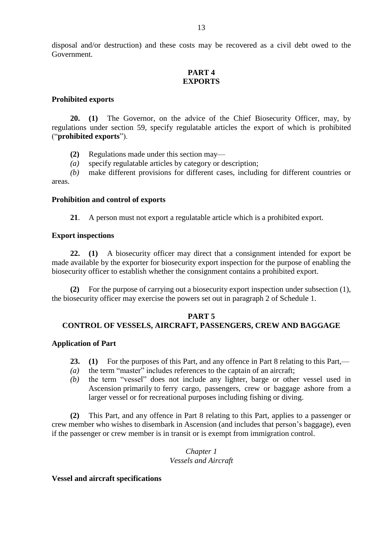## **PART 4 EXPORTS**

## **Prohibited exports**

**20. (1)** The Governor, on the advice of the Chief Biosecurity Officer, may, by regulations under section 59, specify regulatable articles the export of which is prohibited ("**prohibited exports**").

**(2)** Regulations made under this section may—

*(a)* specify regulatable articles by category or description;

*(b)* make different provisions for different cases, including for different countries or areas.

## **Prohibition and control of exports**

**21**. A person must not export a regulatable article which is a prohibited export.

## **Export inspections**

**22. (1)** A biosecurity officer may direct that a consignment intended for export be made available by the exporter for biosecurity export inspection for the purpose of enabling the biosecurity officer to establish whether the consignment contains a prohibited export.

**(2)** For the purpose of carrying out a biosecurity export inspection under subsection (1), the biosecurity officer may exercise the powers set out in paragraph 2 of Schedule 1.

## **PART 5**

# **CONTROL OF VESSELS, AIRCRAFT, PASSENGERS, CREW AND BAGGAGE**

## **Application of Part**

- **23. (1)** For the purposes of this Part, and any offence in Part 8 relating to this Part,—
- *(a)* the term "master" includes references to the captain of an aircraft;
- *(b)* the term "vessel" does not include any lighter, barge or other vessel used in Ascension primarily to ferry cargo, passengers, crew or baggage ashore from a larger vessel or for recreational purposes including fishing or diving.

**(2)** This Part, and any offence in Part 8 relating to this Part, applies to a passenger or crew member who wishes to disembark in Ascension (and includes that person's baggage), even if the passenger or crew member is in transit or is exempt from immigration control.

## *Chapter 1 Vessels and Aircraft*

## **Vessel and aircraft specifications**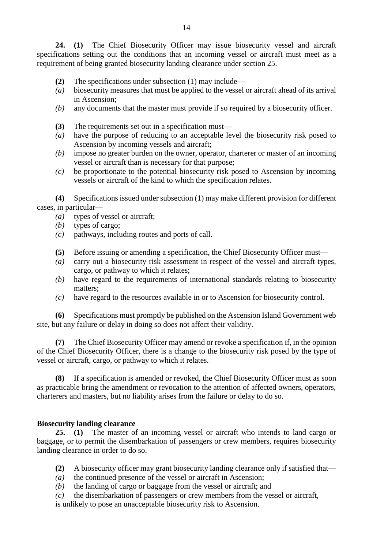**24. (1)** The Chief Biosecurity Officer may issue biosecurity vessel and aircraft specifications setting out the conditions that an incoming vessel or aircraft must meet as a requirement of being granted biosecurity landing clearance under section 25.

- **(2)** The specifications under subsection (1) may include—
- *(a)* biosecurity measures that must be applied to the vessel or aircraft ahead of its arrival in Ascension;
- *(b)* any documents that the master must provide if so required by a biosecurity officer.
- **(3)** The requirements set out in a specification must—
- *(a)* have the purpose of reducing to an acceptable level the biosecurity risk posed to Ascension by incoming vessels and aircraft;
- *(b)* impose no greater burden on the owner, operator, charterer or master of an incoming vessel or aircraft than is necessary for that purpose;
- *(c)* be proportionate to the potential biosecurity risk posed to Ascension by incoming vessels or aircraft of the kind to which the specification relates.

**(4)** Specifications issued under subsection (1) may make different provision for different cases, in particular—

- *(a)* types of vessel or aircraft;
- *(b)* types of cargo;
- *(c)* pathways, including routes and ports of call.
- **(5)** Before issuing or amending a specification, the Chief Biosecurity Officer must—
- *(a)* carry out a biosecurity risk assessment in respect of the vessel and aircraft types, cargo, or pathway to which it relates;
- *(b)* have regard to the requirements of international standards relating to biosecurity matters;
- *(c)* have regard to the resources available in or to Ascension for biosecurity control.

**(6)** Specifications must promptly be published on the Ascension Island Government web site, but any failure or delay in doing so does not affect their validity.

**(7)** The Chief Biosecurity Officer may amend or revoke a specification if, in the opinion of the Chief Biosecurity Officer, there is a change to the biosecurity risk posed by the type of vessel or aircraft, cargo, or pathway to which it relates.

**(8)** If a specification is amended or revoked, the Chief Biosecurity Officer must as soon as practicable bring the amendment or revocation to the attention of affected owners, operators, charterers and masters, but no liability arises from the failure or delay to do so.

#### **Biosecurity landing clearance**

**25. (1)** The master of an incoming vessel or aircraft who intends to land cargo or baggage, or to permit the disembarkation of passengers or crew members, requires biosecurity landing clearance in order to do so.

- **(2)** A biosecurity officer may grant biosecurity landing clearance only if satisfied that—
- *(a)* the continued presence of the vessel or aircraft in Ascension;
- *(b)* the landing of cargo or baggage from the vessel or aircraft; and
- *(c)* the disembarkation of passengers or crew members from the vessel or aircraft,

is unlikely to pose an unacceptable biosecurity risk to Ascension.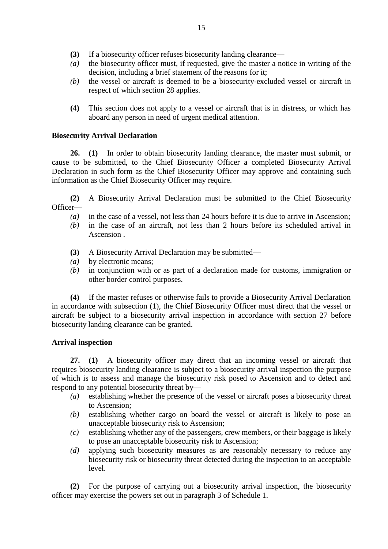- **(3)** If a biosecurity officer refuses biosecurity landing clearance—
- *(a)* the biosecurity officer must, if requested, give the master a notice in writing of the decision, including a brief statement of the reasons for it;
- *(b)* the vessel or aircraft is deemed to be a biosecurity-excluded vessel or aircraft in respect of which section 28 applies.
- **(4)** This section does not apply to a vessel or aircraft that is in distress, or which has aboard any person in need of urgent medical attention.

## **Biosecurity Arrival Declaration**

**26. (1)** In order to obtain biosecurity landing clearance, the master must submit, or cause to be submitted, to the Chief Biosecurity Officer a completed Biosecurity Arrival Declaration in such form as the Chief Biosecurity Officer may approve and containing such information as the Chief Biosecurity Officer may require.

**(2)** A Biosecurity Arrival Declaration must be submitted to the Chief Biosecurity Officer—

- *(a)* in the case of a vessel, not less than 24 hours before it is due to arrive in Ascension;
- *(b)* in the case of an aircraft, not less than 2 hours before its scheduled arrival in Ascension .
- **(3)** A Biosecurity Arrival Declaration may be submitted—
- *(a)* by electronic means;
- *(b)* in conjunction with or as part of a declaration made for customs, immigration or other border control purposes.

**(4)** If the master refuses or otherwise fails to provide a Biosecurity Arrival Declaration in accordance with subsection (1), the Chief Biosecurity Officer must direct that the vessel or aircraft be subject to a biosecurity arrival inspection in accordance with section 27 before biosecurity landing clearance can be granted.

## **Arrival inspection**

**27. (1)** A biosecurity officer may direct that an incoming vessel or aircraft that requires biosecurity landing clearance is subject to a biosecurity arrival inspection the purpose of which is to assess and manage the biosecurity risk posed to Ascension and to detect and respond to any potential biosecurity threat by—

- *(a)* establishing whether the presence of the vessel or aircraft poses a biosecurity threat to Ascension;
- *(b)* establishing whether cargo on board the vessel or aircraft is likely to pose an unacceptable biosecurity risk to Ascension;
- *(c)* establishing whether any of the passengers, crew members, or their baggage is likely to pose an unacceptable biosecurity risk to Ascension;
- *(d)* applying such biosecurity measures as are reasonably necessary to reduce any biosecurity risk or biosecurity threat detected during the inspection to an acceptable level.

**(2)** For the purpose of carrying out a biosecurity arrival inspection, the biosecurity officer may exercise the powers set out in paragraph 3 of Schedule 1.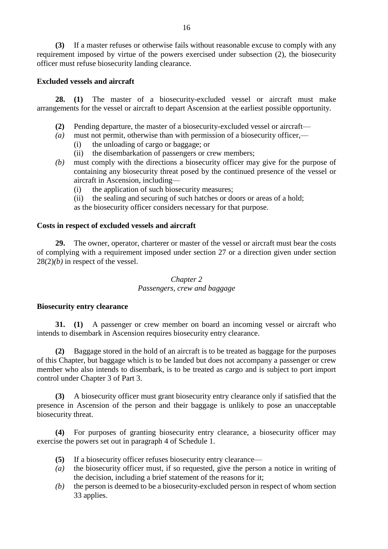**(3)** If a master refuses or otherwise fails without reasonable excuse to comply with any requirement imposed by virtue of the powers exercised under subsection (2), the biosecurity officer must refuse biosecurity landing clearance.

# **Excluded vessels and aircraft**

**28. (1)** The master of a biosecurity-excluded vessel or aircraft must make arrangements for the vessel or aircraft to depart Ascension at the earliest possible opportunity.

- **(2)** Pending departure, the master of a biosecurity-excluded vessel or aircraft—
- *(a)* must not permit, otherwise than with permission of a biosecurity officer,—
	- (i) the unloading of cargo or baggage; or
	- (ii) the disembarkation of passengers or crew members;
- *(b)* must comply with the directions a biosecurity officer may give for the purpose of containing any biosecurity threat posed by the continued presence of the vessel or aircraft in Ascension, including—
	- (i) the application of such biosecurity measures;
	- (ii) the sealing and securing of such hatches or doors or areas of a hold;

as the biosecurity officer considers necessary for that purpose.

## **Costs in respect of excluded vessels and aircraft**

**29.** The owner, operator, charterer or master of the vessel or aircraft must bear the costs of complying with a requirement imposed under section 27 or a direction given under section 28(2)*(b)* in respect of the vessel.

## *Chapter 2 Passengers, crew and baggage*

## **Biosecurity entry clearance**

**31. (1)** A passenger or crew member on board an incoming vessel or aircraft who intends to disembark in Ascension requires biosecurity entry clearance.

**(2)** Baggage stored in the hold of an aircraft is to be treated as baggage for the purposes of this Chapter, but baggage which is to be landed but does not accompany a passenger or crew member who also intends to disembark, is to be treated as cargo and is subject to port import control under Chapter 3 of Part 3.

**(3)** A biosecurity officer must grant biosecurity entry clearance only if satisfied that the presence in Ascension of the person and their baggage is unlikely to pose an unacceptable biosecurity threat.

**(4)** For purposes of granting biosecurity entry clearance, a biosecurity officer may exercise the powers set out in paragraph 4 of Schedule 1.

- **(5)** If a biosecurity officer refuses biosecurity entry clearance—
- *(a)* the biosecurity officer must, if so requested, give the person a notice in writing of the decision, including a brief statement of the reasons for it;
- *(b)* the person is deemed to be a biosecurity-excluded person in respect of whom section 33 applies.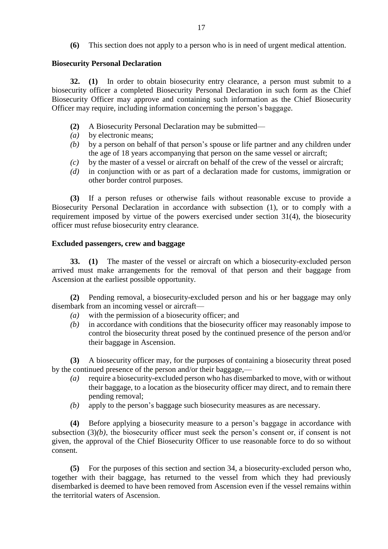**(6)** This section does not apply to a person who is in need of urgent medical attention.

## **Biosecurity Personal Declaration**

**32. (1)** In order to obtain biosecurity entry clearance, a person must submit to a biosecurity officer a completed Biosecurity Personal Declaration in such form as the Chief Biosecurity Officer may approve and containing such information as the Chief Biosecurity Officer may require, including information concerning the person's baggage.

- **(2)** A Biosecurity Personal Declaration may be submitted—
- *(a)* by electronic means;
- *(b)* by a person on behalf of that person's spouse or life partner and any children under the age of 18 years accompanying that person on the same vessel or aircraft;
- *(c)* by the master of a vessel or aircraft on behalf of the crew of the vessel or aircraft;
- *(d)* in conjunction with or as part of a declaration made for customs, immigration or other border control purposes.

**(3)** If a person refuses or otherwise fails without reasonable excuse to provide a Biosecurity Personal Declaration in accordance with subsection (1), or to comply with a requirement imposed by virtue of the powers exercised under section 31(4), the biosecurity officer must refuse biosecurity entry clearance.

## **Excluded passengers, crew and baggage**

**33. (1)** The master of the vessel or aircraft on which a biosecurity-excluded person arrived must make arrangements for the removal of that person and their baggage from Ascension at the earliest possible opportunity.

**(2)** Pending removal, a biosecurity-excluded person and his or her baggage may only disembark from an incoming vessel or aircraft—

- *(a)* with the permission of a biosecurity officer; and
- *(b)* in accordance with conditions that the biosecurity officer may reasonably impose to control the biosecurity threat posed by the continued presence of the person and/or their baggage in Ascension.

**(3)** A biosecurity officer may, for the purposes of containing a biosecurity threat posed by the continued presence of the person and/or their baggage,—

- *(a)* require a biosecurity-excluded person who has disembarked to move, with or without their baggage, to a location as the biosecurity officer may direct, and to remain there pending removal;
- *(b)* apply to the person's baggage such biosecurity measures as are necessary.

**(4)** Before applying a biosecurity measure to a person's baggage in accordance with subsection  $(3)(b)$ , the biosecurity officer must seek the person's consent or, if consent is not given, the approval of the Chief Biosecurity Officer to use reasonable force to do so without consent.

**(5)** For the purposes of this section and section 34, a biosecurity-excluded person who, together with their baggage, has returned to the vessel from which they had previously disembarked is deemed to have been removed from Ascension even if the vessel remains within the territorial waters of Ascension.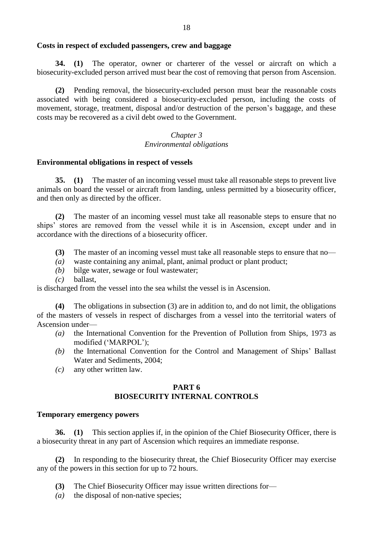#### **Costs in respect of excluded passengers, crew and baggage**

**34. (1)** The operator, owner or charterer of the vessel or aircraft on which a biosecurity-excluded person arrived must bear the cost of removing that person from Ascension.

**(2)** Pending removal, the biosecurity-excluded person must bear the reasonable costs associated with being considered a biosecurity-excluded person, including the costs of movement, storage, treatment, disposal and/or destruction of the person's baggage, and these costs may be recovered as a civil debt owed to the Government.

## *Chapter 3 Environmental obligations*

#### **Environmental obligations in respect of vessels**

**35. (1)** The master of an incoming vessel must take all reasonable steps to prevent live animals on board the vessel or aircraft from landing, unless permitted by a biosecurity officer, and then only as directed by the officer.

**(2)** The master of an incoming vessel must take all reasonable steps to ensure that no ships' stores are removed from the vessel while it is in Ascension, except under and in accordance with the directions of a biosecurity officer.

- **(3)** The master of an incoming vessel must take all reasonable steps to ensure that no—
- *(a)* waste containing any animal, plant, animal product or plant product;
- *(b)* bilge water, sewage or foul wastewater;
- *(c)* ballast,

is discharged from the vessel into the sea whilst the vessel is in Ascension.

**(4)** The obligations in subsection (3) are in addition to, and do not limit, the obligations of the masters of vessels in respect of discharges from a vessel into the territorial waters of Ascension under—

- *(a)* the International Convention for the Prevention of Pollution from Ships, 1973 as modified ('MARPOL');
- *(b)* the International Convention for the Control and Management of Ships' Ballast Water and Sediments, 2004;
- *(c)* any other written law.

#### **PART 6 BIOSECURITY INTERNAL CONTROLS**

#### **Temporary emergency powers**

**36. (1)** This section applies if, in the opinion of the Chief Biosecurity Officer, there is a biosecurity threat in any part of Ascension which requires an immediate response.

**(2)** In responding to the biosecurity threat, the Chief Biosecurity Officer may exercise any of the powers in this section for up to 72 hours.

- **(3)** The Chief Biosecurity Officer may issue written directions for—
- *(a)* the disposal of non-native species;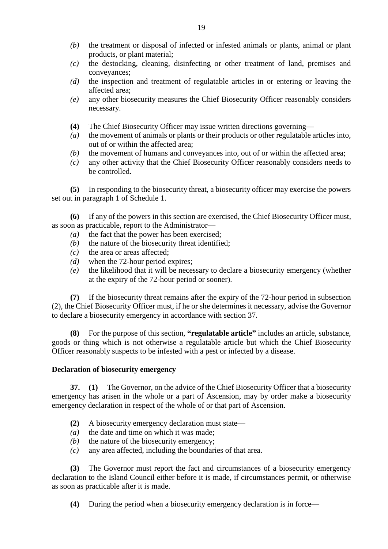- *(b)* the treatment or disposal of infected or infested animals or plants, animal or plant products, or plant material;
- *(c)* the destocking, cleaning, disinfecting or other treatment of land, premises and conveyances;
- *(d)* the inspection and treatment of regulatable articles in or entering or leaving the affected area;
- *(e)* any other biosecurity measures the Chief Biosecurity Officer reasonably considers necessary.
- **(4)** The Chief Biosecurity Officer may issue written directions governing—
- *(a)* the movement of animals or plants or their products or other regulatable articles into, out of or within the affected area;
- *(b)* the movement of humans and conveyances into, out of or within the affected area;
- *(c)* any other activity that the Chief Biosecurity Officer reasonably considers needs to be controlled.

**(5)** In responding to the biosecurity threat, a biosecurity officer may exercise the powers set out in paragraph 1 of Schedule 1.

**(6)** If any of the powers in this section are exercised, the Chief Biosecurity Officer must, as soon as practicable, report to the Administrator—

- *(a)* the fact that the power has been exercised;
- *(b)* the nature of the biosecurity threat identified;
- *(c)* the area or areas affected;
- *(d)* when the 72-hour period expires;
- *(e)* the likelihood that it will be necessary to declare a biosecurity emergency (whether at the expiry of the 72-hour period or sooner).

**(7)** If the biosecurity threat remains after the expiry of the 72-hour period in subsection (2), the Chief Biosecurity Officer must, if he or she determines it necessary, advise the Governor to declare a biosecurity emergency in accordance with section 37.

**(8)** For the purpose of this section, **"regulatable article"** includes an article, substance, goods or thing which is not otherwise a regulatable article but which the Chief Biosecurity Officer reasonably suspects to be infested with a pest or infected by a disease.

## **Declaration of biosecurity emergency**

**37. (1)** The Governor, on the advice of the Chief Biosecurity Officer that a biosecurity emergency has arisen in the whole or a part of Ascension, may by order make a biosecurity emergency declaration in respect of the whole of or that part of Ascension.

- **(2)** A biosecurity emergency declaration must state—
- *(a)* the date and time on which it was made;
- *(b)* the nature of the biosecurity emergency;
- *(c)* any area affected, including the boundaries of that area.

**(3)** The Governor must report the fact and circumstances of a biosecurity emergency declaration to the Island Council either before it is made, if circumstances permit, or otherwise as soon as practicable after it is made.

**(4)** During the period when a biosecurity emergency declaration is in force—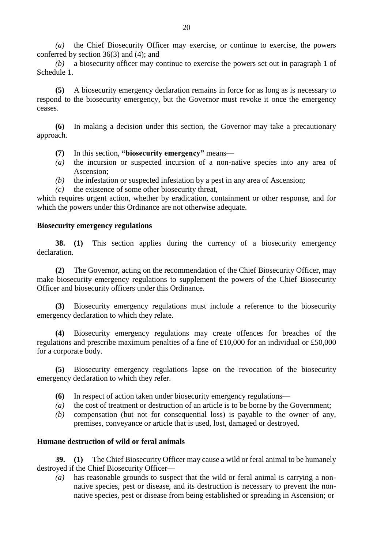*(a)* the Chief Biosecurity Officer may exercise, or continue to exercise, the powers conferred by section 36(3) and (4); and

*(b)* a biosecurity officer may continue to exercise the powers set out in paragraph 1 of Schedule 1.

**(5)** A biosecurity emergency declaration remains in force for as long as is necessary to respond to the biosecurity emergency, but the Governor must revoke it once the emergency ceases.

**(6)** In making a decision under this section, the Governor may take a precautionary approach.

- **(7)** In this section, **"biosecurity emergency"** means—
- *(a)* the incursion or suspected incursion of a non-native species into any area of Ascension;
- *(b)* the infestation or suspected infestation by a pest in any area of Ascension;
- *(c)* the existence of some other biosecurity threat,

which requires urgent action, whether by eradication, containment or other response, and for which the powers under this Ordinance are not otherwise adequate.

#### **Biosecurity emergency regulations**

**38. (1)** This section applies during the currency of a biosecurity emergency declaration.

**(2)** The Governor, acting on the recommendation of the Chief Biosecurity Officer, may make biosecurity emergency regulations to supplement the powers of the Chief Biosecurity Officer and biosecurity officers under this Ordinance.

**(3)** Biosecurity emergency regulations must include a reference to the biosecurity emergency declaration to which they relate.

**(4)** Biosecurity emergency regulations may create offences for breaches of the regulations and prescribe maximum penalties of a fine of £10,000 for an individual or £50,000 for a corporate body.

**(5)** Biosecurity emergency regulations lapse on the revocation of the biosecurity emergency declaration to which they refer.

- **(6)** In respect of action taken under biosecurity emergency regulations—
- *(a)* the cost of treatment or destruction of an article is to be borne by the Government;
- *(b)* compensation (but not for consequential loss) is payable to the owner of any, premises, conveyance or article that is used, lost, damaged or destroyed.

#### **Humane destruction of wild or feral animals**

**39. (1)** The Chief Biosecurity Officer may cause a wild or feral animal to be humanely destroyed if the Chief Biosecurity Officer—

*(a)* has reasonable grounds to suspect that the wild or feral animal is carrying a nonnative species, pest or disease, and its destruction is necessary to prevent the nonnative species, pest or disease from being established or spreading in Ascension; or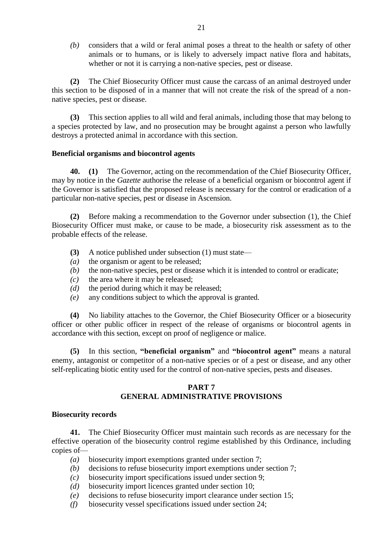*(b)* considers that a wild or feral animal poses a threat to the health or safety of other animals or to humans, or is likely to adversely impact native flora and habitats, whether or not it is carrying a non-native species, pest or disease.

**(2)** The Chief Biosecurity Officer must cause the carcass of an animal destroyed under this section to be disposed of in a manner that will not create the risk of the spread of a nonnative species, pest or disease.

**(3)** This section applies to all wild and feral animals, including those that may belong to a species protected by law, and no prosecution may be brought against a person who lawfully destroys a protected animal in accordance with this section.

#### **Beneficial organisms and biocontrol agents**

**40. (1)** The Governor, acting on the recommendation of the Chief Biosecurity Officer, may by notice in the *Gazette* authorise the release of a beneficial organism or biocontrol agent if the Governor is satisfied that the proposed release is necessary for the control or eradication of a particular non-native species, pest or disease in Ascension.

**(2)** Before making a recommendation to the Governor under subsection (1), the Chief Biosecurity Officer must make, or cause to be made, a biosecurity risk assessment as to the probable effects of the release.

- **(3)** A notice published under subsection (1) must state—
- *(a)* the organism or agent to be released;
- *(b)* the non-native species, pest or disease which it is intended to control or eradicate;
- *(c)* the area where it may be released;
- *(d)* the period during which it may be released;
- *(e)* any conditions subject to which the approval is granted.

**(4)** No liability attaches to the Governor, the Chief Biosecurity Officer or a biosecurity officer or other public officer in respect of the release of organisms or biocontrol agents in accordance with this section, except on proof of negligence or malice.

**(5)** In this section, **"beneficial organism"** and **"biocontrol agent"** means a natural enemy, antagonist or competitor of a non-native species or of a pest or disease, and any other self-replicating biotic entity used for the control of non-native species, pests and diseases.

## **PART 7 GENERAL ADMINISTRATIVE PROVISIONS**

#### **Biosecurity records**

**41.** The Chief Biosecurity Officer must maintain such records as are necessary for the effective operation of the biosecurity control regime established by this Ordinance, including copies of—

- *(a)* biosecurity import exemptions granted under section 7;
- *(b)* decisions to refuse biosecurity import exemptions under section 7;
- *(c)* biosecurity import specifications issued under section 9;
- *(d)* biosecurity import licences granted under section 10;
- *(e)* decisions to refuse biosecurity import clearance under section 15;
- *(f)* biosecurity vessel specifications issued under section 24;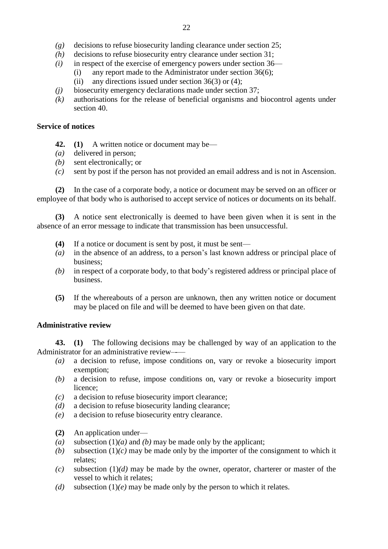- *(g)* decisions to refuse biosecurity landing clearance under section 25;
- *(h)* decisions to refuse biosecurity entry clearance under section 31;
- *(i)* in respect of the exercise of emergency powers under section 36—
	- (i) any report made to the Administrator under section 36(6); (ii) any directions issued under section  $36(3)$  or (4);
- *(j)* biosecurity emergency declarations made under section 37;
- *(k)* authorisations for the release of beneficial organisms and biocontrol agents under section 40.

## **Service of notices**

- **42. (1)** A written notice or document may be—
- *(a)* delivered in person;
- *(b)* sent electronically; or
- *(c)* sent by post if the person has not provided an email address and is not in Ascension.

**(2)** In the case of a corporate body, a notice or document may be served on an officer or employee of that body who is authorised to accept service of notices or documents on its behalf.

**(3)** A notice sent electronically is deemed to have been given when it is sent in the absence of an error message to indicate that transmission has been unsuccessful.

- **(4)** If a notice or document is sent by post, it must be sent—
- *(a)* in the absence of an address, to a person's last known address or principal place of business;
- *(b)* in respect of a corporate body, to that body's registered address or principal place of business.
- **(5)** If the whereabouts of a person are unknown, then any written notice or document may be placed on file and will be deemed to have been given on that date.

## **Administrative review**

**43. (1)** The following decisions may be challenged by way of an application to the Administrator for an administrative review–-—

- *(a)* a decision to refuse, impose conditions on, vary or revoke a biosecurity import exemption;
- *(b)* a decision to refuse, impose conditions on, vary or revoke a biosecurity import licence;
- *(c)* a decision to refuse biosecurity import clearance;
- *(d)* a decision to refuse biosecurity landing clearance;
- *(e)* a decision to refuse biosecurity entry clearance.
- **(2)** An application under—
- *(a)* subsection (1)*(a)* and *(b)* may be made only by the applicant;
- *(b)* subsection  $(1)(c)$  may be made only by the importer of the consignment to which it relates;
- *(c)* subsection (1)*(d)* may be made by the owner, operator, charterer or master of the vessel to which it relates;
- *(d)* subsection (1)*(e)* may be made only by the person to which it relates.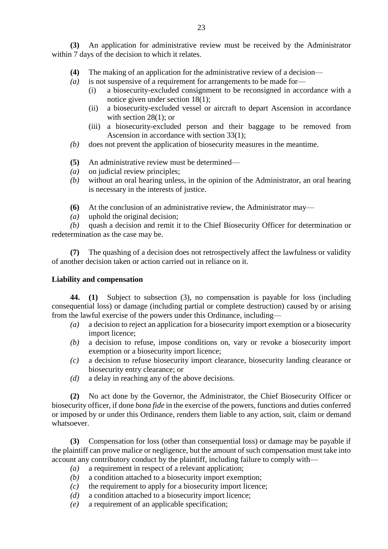**(3)** An application for administrative review must be received by the Administrator within 7 days of the decision to which it relates.

- **(4)** The making of an application for the administrative review of a decision—
- *(a)* is not suspensive of a requirement for arrangements to be made for—
	- (i) a biosecurity-excluded consignment to be reconsigned in accordance with a notice given under section 18(1);
	- (ii) a biosecurity-excluded vessel or aircraft to depart Ascension in accordance with section 28(1); or
	- (iii) a biosecurity-excluded person and their baggage to be removed from Ascension in accordance with section 33(1);
- *(b)* does not prevent the application of biosecurity measures in the meantime.
- **(5)** An administrative review must be determined—
- *(a)* on judicial review principles;
- *(b)* without an oral hearing unless, in the opinion of the Administrator, an oral hearing is necessary in the interests of justice.
- **(6)** At the conclusion of an administrative review, the Administrator may—
- *(a)* uphold the original decision;

*(b)* quash a decision and remit it to the Chief Biosecurity Officer for determination or redetermination as the case may be.

**(7)** The quashing of a decision does not retrospectively affect the lawfulness or validity of another decision taken or action carried out in reliance on it.

# **Liability and compensation**

**44. (1)** Subject to subsection (3), no compensation is payable for loss (including consequential loss) or damage (including partial or complete destruction) caused by or arising from the lawful exercise of the powers under this Ordinance, including—

- *(a)* a decision to reject an application for a biosecurity import exemption or a biosecurity import licence;
- *(b)* a decision to refuse, impose conditions on, vary or revoke a biosecurity import exemption or a biosecurity import licence;
- *(c)* a decision to refuse biosecurity import clearance, biosecurity landing clearance or biosecurity entry clearance; or
- *(d)* a delay in reaching any of the above decisions.

**(2)** No act done by the Governor, the Administrator, the Chief Biosecurity Officer or biosecurity officer, if done *bona fide* in the exercise of the powers, functions and duties conferred or imposed by or under this Ordinance, renders them liable to any action, suit, claim or demand whatsoever.

**(3)** Compensation for loss (other than consequential loss) or damage may be payable if the plaintiff can prove malice or negligence, but the amount of such compensation must take into account any contributory conduct by the plaintiff, including failure to comply with—

- *(a)* a requirement in respect of a relevant application;
- *(b)* a condition attached to a biosecurity import exemption;
- *(c)* the requirement to apply for a biosecurity import licence;
- *(d)* a condition attached to a biosecurity import licence;
- *(e)* a requirement of an applicable specification;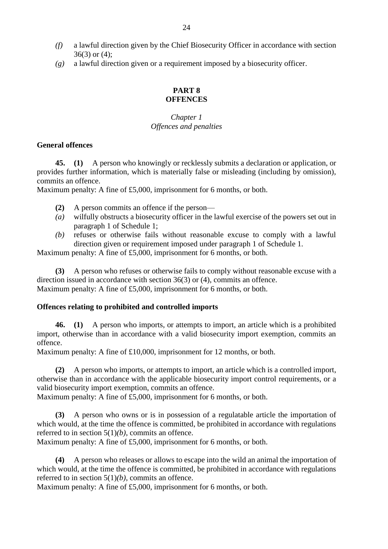- *(f)* a lawful direction given by the Chief Biosecurity Officer in accordance with section 36(3) or (4);
- *(g)* a lawful direction given or a requirement imposed by a biosecurity officer.

## **PART 8 OFFENCES**

## *Chapter 1 Offences and penalties*

## **General offences**

**45. (1)** A person who knowingly or recklessly submits a declaration or application, or provides further information, which is materially false or misleading (including by omission), commits an offence.

Maximum penalty: A fine of £5,000, imprisonment for 6 months, or both.

- **(2)** A person commits an offence if the person—
- *(a)* wilfully obstructs a biosecurity officer in the lawful exercise of the powers set out in paragraph 1 of Schedule 1;
- *(b)* refuses or otherwise fails without reasonable excuse to comply with a lawful direction given or requirement imposed under paragraph 1 of Schedule 1.

Maximum penalty: A fine of £5,000, imprisonment for 6 months, or both.

**(3)** A person who refuses or otherwise fails to comply without reasonable excuse with a direction issued in accordance with section 36(3) or (4), commits an offence. Maximum penalty: A fine of £5,000, imprisonment for 6 months, or both.

# **Offences relating to prohibited and controlled imports**

**46. (1)** A person who imports, or attempts to import, an article which is a prohibited import, otherwise than in accordance with a valid biosecurity import exemption, commits an offence.

Maximum penalty: A fine of £10,000, imprisonment for 12 months, or both.

**(2)** A person who imports, or attempts to import, an article which is a controlled import, otherwise than in accordance with the applicable biosecurity import control requirements, or a valid biosecurity import exemption, commits an offence.

Maximum penalty: A fine of £5,000, imprisonment for 6 months, or both.

**(3)** A person who owns or is in possession of a regulatable article the importation of which would, at the time the offence is committed, be prohibited in accordance with regulations referred to in section 5(1)*(b)*, commits an offence.

Maximum penalty: A fine of £5,000, imprisonment for 6 months, or both.

**(4)** A person who releases or allows to escape into the wild an animal the importation of which would, at the time the offence is committed, be prohibited in accordance with regulations referred to in section 5(1)*(b)*, commits an offence.

Maximum penalty: A fine of £5,000, imprisonment for 6 months, or both.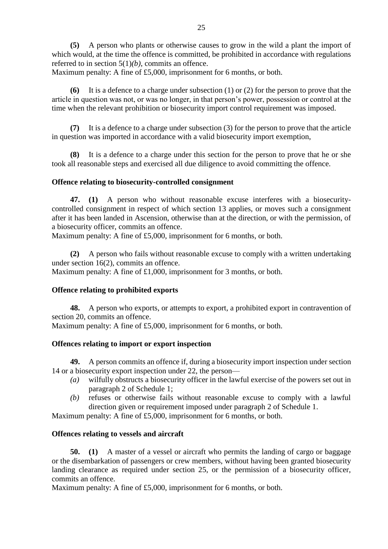**(5)** A person who plants or otherwise causes to grow in the wild a plant the import of which would, at the time the offence is committed, be prohibited in accordance with regulations referred to in section 5(1)*(b)*, commits an offence.

Maximum penalty: A fine of £5,000, imprisonment for 6 months, or both.

**(6)** It is a defence to a charge under subsection (1) or (2) for the person to prove that the article in question was not, or was no longer, in that person's power, possession or control at the time when the relevant prohibition or biosecurity import control requirement was imposed.

**(7)** It is a defence to a charge under subsection (3) for the person to prove that the article in question was imported in accordance with a valid biosecurity import exemption,

**(8)** It is a defence to a charge under this section for the person to prove that he or she took all reasonable steps and exercised all due diligence to avoid committing the offence.

## **Offence relating to biosecurity-controlled consignment**

**47. (1)** A person who without reasonable excuse interferes with a biosecuritycontrolled consignment in respect of which section 13 applies, or moves such a consignment after it has been landed in Ascension, otherwise than at the direction, or with the permission, of a biosecurity officer, commits an offence.

Maximum penalty: A fine of £5,000, imprisonment for 6 months, or both.

**(2)** A person who fails without reasonable excuse to comply with a written undertaking under section 16(2), commits an offence.

Maximum penalty: A fine of £1,000, imprisonment for 3 months, or both.

# **Offence relating to prohibited exports**

**48.** A person who exports, or attempts to export, a prohibited export in contravention of section 20, commits an offence.

Maximum penalty: A fine of £5,000, imprisonment for 6 months, or both.

# **Offences relating to import or export inspection**

**49.** A person commits an offence if, during a biosecurity import inspection under section 14 or a biosecurity export inspection under 22, the person—

- *(a)* wilfully obstructs a biosecurity officer in the lawful exercise of the powers set out in paragraph 2 of Schedule 1;
- *(b)* refuses or otherwise fails without reasonable excuse to comply with a lawful direction given or requirement imposed under paragraph 2 of Schedule 1.

Maximum penalty: A fine of £5,000, imprisonment for 6 months, or both.

# **Offences relating to vessels and aircraft**

**50. (1)** A master of a vessel or aircraft who permits the landing of cargo or baggage or the disembarkation of passengers or crew members, without having been granted biosecurity landing clearance as required under section 25, or the permission of a biosecurity officer, commits an offence.

Maximum penalty: A fine of £5,000, imprisonment for 6 months, or both.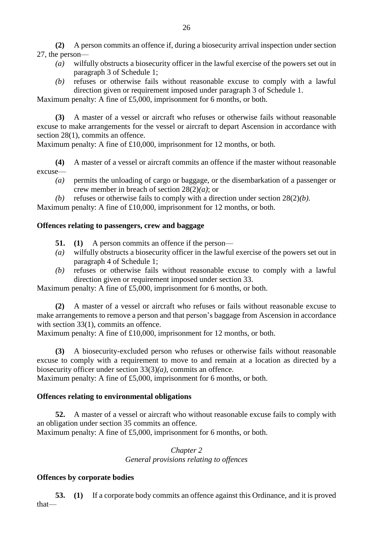**(2)** A person commits an offence if, during a biosecurity arrival inspection under section 27, the person—

- *(a)* wilfully obstructs a biosecurity officer in the lawful exercise of the powers set out in paragraph 3 of Schedule 1;
- *(b)* refuses or otherwise fails without reasonable excuse to comply with a lawful direction given or requirement imposed under paragraph 3 of Schedule 1.

Maximum penalty: A fine of £5,000, imprisonment for 6 months, or both.

**(3)** A master of a vessel or aircraft who refuses or otherwise fails without reasonable excuse to make arrangements for the vessel or aircraft to depart Ascension in accordance with section 28(1), commits an offence.

Maximum penalty: A fine of £10,000, imprisonment for 12 months, or both.

**(4)** A master of a vessel or aircraft commits an offence if the master without reasonable excuse—

- *(a)* permits the unloading of cargo or baggage, or the disembarkation of a passenger or crew member in breach of section 28(2)*(a)*; or
- *(b)* refuses or otherwise fails to comply with a direction under section 28(2)*(b).*

Maximum penalty: A fine of £10,000, imprisonment for 12 months, or both.

## **Offences relating to passengers, crew and baggage**

- **51. (1)** A person commits an offence if the person—
- *(a)* wilfully obstructs a biosecurity officer in the lawful exercise of the powers set out in paragraph 4 of Schedule 1;
- *(b)* refuses or otherwise fails without reasonable excuse to comply with a lawful direction given or requirement imposed under section 33.

Maximum penalty: A fine of £5,000, imprisonment for 6 months, or both.

**(2)** A master of a vessel or aircraft who refuses or fails without reasonable excuse to make arrangements to remove a person and that person's baggage from Ascension in accordance with section 33(1), commits an offence.

Maximum penalty: A fine of £10,000, imprisonment for 12 months, or both.

**(3)** A biosecurity-excluded person who refuses or otherwise fails without reasonable excuse to comply with a requirement to move to and remain at a location as directed by a biosecurity officer under section 33(3)*(a)*, commits an offence.

Maximum penalty: A fine of £5,000, imprisonment for 6 months, or both.

# **Offences relating to environmental obligations**

**52.** A master of a vessel or aircraft who without reasonable excuse fails to comply with an obligation under section 35 commits an offence. Maximum penalty: A fine of £5,000, imprisonment for 6 months, or both.

> *Chapter 2 General provisions relating to offences*

## **Offences by corporate bodies**

**53. (1)** If a corporate body commits an offence against this Ordinance, and it is proved that—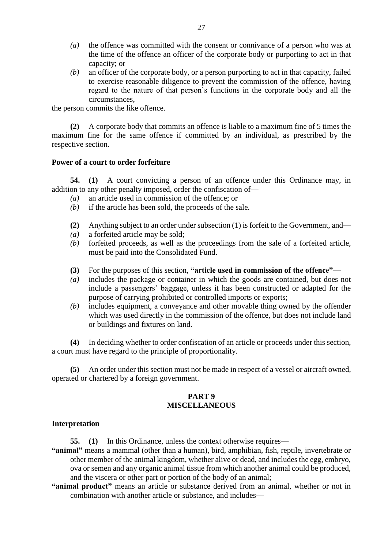- *(a)* the offence was committed with the consent or connivance of a person who was at the time of the offence an officer of the corporate body or purporting to act in that capacity; or
- *(b)* an officer of the corporate body, or a person purporting to act in that capacity, failed to exercise reasonable diligence to prevent the commission of the offence, having regard to the nature of that person's functions in the corporate body and all the circumstances,

the person commits the like offence.

**(2)** A corporate body that commits an offence is liable to a maximum fine of 5 times the maximum fine for the same offence if committed by an individual, as prescribed by the respective section.

#### **Power of a court to order forfeiture**

**54. (1)** A court convicting a person of an offence under this Ordinance may, in addition to any other penalty imposed, order the confiscation of—

- *(a)* an article used in commission of the offence; or
- *(b)* if the article has been sold, the proceeds of the sale.
- **(2)** Anything subject to an order under subsection (1) is forfeit to the Government, and—
- *(a)* a forfeited article may be sold;
- *(b)* forfeited proceeds, as well as the proceedings from the sale of a forfeited article, must be paid into the Consolidated Fund.
- **(3)** For the purposes of this section, **"article used in commission of the offence"—**
- *(a)* includes the package or container in which the goods are contained, but does not include a passengers' baggage, unless it has been constructed or adapted for the purpose of carrying prohibited or controlled imports or exports;
- *(b)* includes equipment, a conveyance and other movable thing owned by the offender which was used directly in the commission of the offence, but does not include land or buildings and fixtures on land.

**(4)** In deciding whether to order confiscation of an article or proceeds under this section, a court must have regard to the principle of proportionality.

**(5)** An order under this section must not be made in respect of a vessel or aircraft owned, operated or chartered by a foreign government.

## **PART 9 MISCELLANEOUS**

#### **Interpretation**

**55. (1)** In this Ordinance, unless the context otherwise requires—

- **"animal"** means a mammal (other than a human), bird, amphibian, fish, reptile, invertebrate or other member of the animal kingdom, whether alive or dead, and includes the egg, embryo, ova or semen and any organic animal tissue from which another animal could be produced, and the viscera or other part or portion of the body of an animal;
- **"animal product"** means an article or substance derived from an animal, whether or not in combination with another article or substance, and includes—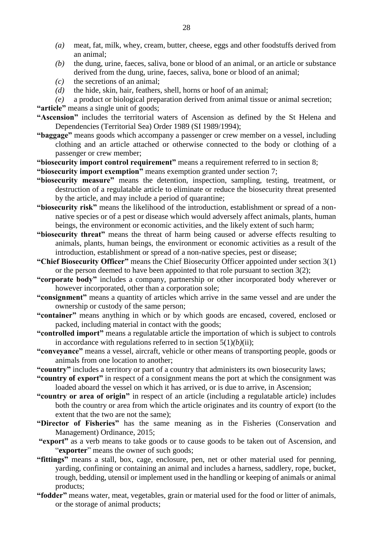- *(a)* meat, fat, milk, whey, cream, butter, cheese, eggs and other foodstuffs derived from an animal;
- *(b)* the dung, urine, faeces, saliva, bone or blood of an animal, or an article or substance derived from the dung, urine, faeces, saliva, bone or blood of an animal;
- *(c)* the secretions of an animal;
- *(d)* the hide, skin, hair, feathers, shell, horns or hoof of an animal;
- *(e)* a product or biological preparation derived from animal tissue or animal secretion;

**"article"** means a single unit of goods;

**"Ascension"** includes the territorial waters of Ascension as defined by the St Helena and Dependencies (Territorial Sea) Order 1989 (SI 1989/1994);

- **"baggage"** means goods which accompany a passenger or crew member on a vessel, including clothing and an article attached or otherwise connected to the body or clothing of a passenger or crew member;
- **"biosecurity import control requirement"** means a requirement referred to in section 8;

**"biosecurity import exemption"** means exemption granted under section 7;

- **"biosecurity measure"** means the detention, inspection, sampling, testing, treatment, or destruction of a regulatable article to eliminate or reduce the biosecurity threat presented by the article, and may include a period of quarantine;
- **"biosecurity risk"** means the likelihood of the introduction, establishment or spread of a nonnative species or of a pest or disease which would adversely affect animals, plants, human beings, the environment or economic activities, and the likely extent of such harm;
- **"biosecurity threat"** means the threat of harm being caused or adverse effects resulting to animals, plants, human beings, the environment or economic activities as a result of the introduction, establishment or spread of a non-native species, pest or disease;
- **"Chief Biosecurity Officer"** means the Chief Biosecurity Officer appointed under section 3(1) or the person deemed to have been appointed to that role pursuant to section  $3(2)$ ;
- **"corporate body"** includes a company, partnership or other incorporated body wherever or however incorporated, other than a corporation sole;
- **"consignment"** means a quantity of articles which arrive in the same vessel and are under the ownership or custody of the same person;
- **"container"** means anything in which or by which goods are encased, covered, enclosed or packed, including material in contact with the goods;
- **"controlled import"** means a regulatable article the importation of which is subject to controls in accordance with regulations referred to in section  $5(1)(b)(ii)$ ;
- **"conveyance"** means a vessel, aircraft, vehicle or other means of transporting people, goods or animals from one location to another;
- **"country"** includes a territory or part of a country that administers its own biosecurity laws;
- **"country of export"** in respect of a consignment means the port at which the consignment was loaded aboard the vessel on which it has arrived, or is due to arrive, in Ascension;
- **"country or area of origin"** in respect of an article (including a regulatable article) includes both the country or area from which the article originates and its country of export (to the extent that the two are not the same);
- **"Director of Fisheries"** has the same meaning as in the Fisheries (Conservation and Management) Ordinance, 2015;
- **"export"** as a verb means to take goods or to cause goods to be taken out of Ascension, and "**exporter**" means the owner of such goods;
- **"fittings"** means a stall, box, cage, enclosure, pen, net or other material used for penning, yarding, confining or containing an animal and includes a harness, saddlery, rope, bucket, trough, bedding, utensil or implement used in the handling or keeping of animals or animal products;
- **"fodder"** means water, meat, vegetables, grain or material used for the food or litter of animals, or the storage of animal products;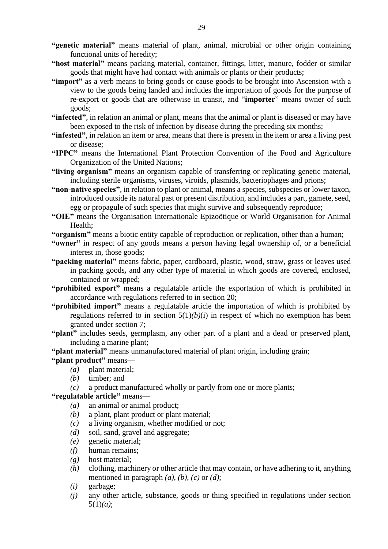- **"host materia**l**"** means packing material, container, fittings, litter, manure, fodder or similar goods that might have had contact with animals or plants or their products;
- **"import"** as a verb means to bring goods or cause goods to be brought into Ascension with a view to the goods being landed and includes the importation of goods for the purpose of re-export or goods that are otherwise in transit, and "**importer**" means owner of such goods;
- **"infected"**, in relation an animal or plant, means that the animal or plant is diseased or may have been exposed to the risk of infection by disease during the preceding six months;
- **"infested"**, in relation an item or area, means that there is present in the item or area a living pest or disease;
- **"IPPC"** means the International Plant Protection Convention of the Food and Agriculture Organization of the United Nations;
- **"living organism"** means an organism capable of transferring or replicating genetic material, including sterile organisms, viruses, viroids, plasmids, bacteriophages and prions;
- **"non-native species"**, in relation to plant or animal, means a species, subspecies or lower taxon, introduced outside its natural past or present distribution, and includes a part, gamete, seed, egg or propagule of such species that might survive and subsequently reproduce;
- **"OIE"** means the Organisation Internationale Epizoötique or World Organisation for Animal Health;
- **"organism"** means a biotic entity capable of reproduction or replication, other than a human;
- **"owner"** in respect of any goods means a person having legal ownership of, or a beneficial interest in, those goods;
- **"packing material"** means fabric, paper, cardboard, plastic, wood, straw, grass or leaves used in packing goods*,* and any other type of material in which goods are covered, enclosed, contained or wrapped;
- **"prohibited export"** means a regulatable article the exportation of which is prohibited in accordance with regulations referred to in section 20;
- **"prohibited import"** means a regulatable article the importation of which is prohibited by regulations referred to in section  $5(1)(b)(i)$  in respect of which no exemption has been granted under section 7;
- **"plant"** includes seeds, germplasm, any other part of a plant and a dead or preserved plant, including a marine plant;

**"plant material"** means unmanufactured material of plant origin, including grain;

## **"plant product"** means—

- *(a)* plant material;
- *(b)* timber; and
- *(c)* a product manufactured wholly or partly from one or more plants;

# **"regulatable article"** means—

- *(a)* an animal or animal product;
- *(b)* a plant, plant product or plant material;
- *(c)* a living organism, whether modified or not;
- *(d)* soil, sand, gravel and aggregate;
- *(e)* genetic material;
- *(f)* human remains;
- *(g)* host material;
- *(h)* clothing, machinery or other article that may contain, or have adhering to it, anything mentioned in paragraph  $(a)$ ,  $(b)$ ,  $(c)$  or  $(d)$ ;
- *(i)* garbage;
- *(j)* any other article, substance, goods or thing specified in regulations under section 5(1)*(a)*;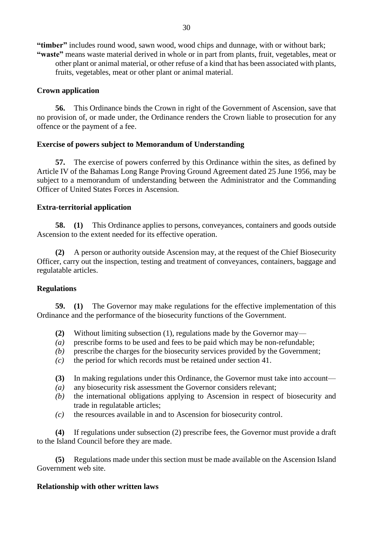**"timber"** includes round wood, sawn wood, wood chips and dunnage, with or without bark; **"waste"** means waste material derived in whole or in part from plants, fruit, vegetables, meat or other plant or animal material, or other refuse of a kind that has been associated with plants, fruits, vegetables, meat or other plant or animal material.

#### **Crown application**

**56.** This Ordinance binds the Crown in right of the Government of Ascension, save that no provision of, or made under, the Ordinance renders the Crown liable to prosecution for any offence or the payment of a fee.

#### **Exercise of powers subject to Memorandum of Understanding**

**57.** The exercise of powers conferred by this Ordinance within the sites, as defined by Article IV of the Bahamas Long Range Proving Ground Agreement dated 25 June 1956, may be subject to a memorandum of understanding between the Administrator and the Commanding Officer of United States Forces in Ascension.

#### **Extra-territorial application**

**58. (1)** This Ordinance applies to persons, conveyances, containers and goods outside Ascension to the extent needed for its effective operation.

**(2)** A person or authority outside Ascension may, at the request of the Chief Biosecurity Officer, carry out the inspection, testing and treatment of conveyances, containers, baggage and regulatable articles.

#### **Regulations**

**59. (1)** The Governor may make regulations for the effective implementation of this Ordinance and the performance of the biosecurity functions of the Government.

- **(2)** Without limiting subsection (1), regulations made by the Governor may—
- *(a)* prescribe forms to be used and fees to be paid which may be non-refundable;
- *(b)* prescribe the charges for the biosecurity services provided by the Government;
- *(c)* the period for which records must be retained under section 41.
- **(3)** In making regulations under this Ordinance, the Governor must take into account—
- *(a)* any biosecurity risk assessment the Governor considers relevant;
- *(b)* the international obligations applying to Ascension in respect of biosecurity and trade in regulatable articles;
- *(c)* the resources available in and to Ascension for biosecurity control.

**(4)** If regulations under subsection (2) prescribe fees, the Governor must provide a draft to the Island Council before they are made.

**(5)** Regulations made under this section must be made available on the Ascension Island Government web site.

#### **Relationship with other written laws**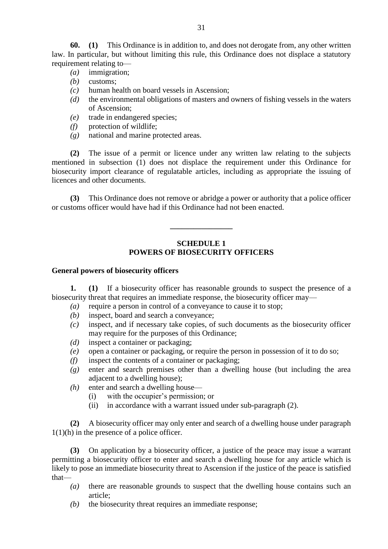**60. (1)** This Ordinance is in addition to, and does not derogate from, any other written law. In particular, but without limiting this rule, this Ordinance does not displace a statutory requirement relating to—

- *(a)* immigration;
- *(b)* customs;
- *(c)* human health on board vessels in Ascension;
- *(d)* the environmental obligations of masters and owners of fishing vessels in the waters of Ascension;
- *(e)* trade in endangered species;
- *(f)* protection of wildlife;
- *(g)* national and marine protected areas.

**(2)** The issue of a permit or licence under any written law relating to the subjects mentioned in subsection (1) does not displace the requirement under this Ordinance for biosecurity import clearance of regulatable articles, including as appropriate the issuing of licences and other documents.

**(3)** This Ordinance does not remove or abridge a power or authority that a police officer or customs officer would have had if this Ordinance had not been enacted.

**\_\_\_\_\_\_\_\_\_\_\_\_\_\_\_\_**

## **SCHEDULE 1 POWERS OF BIOSECURITY OFFICERS**

#### **General powers of biosecurity officers**

**1. (1)** If a biosecurity officer has reasonable grounds to suspect the presence of a biosecurity threat that requires an immediate response, the biosecurity officer may—

- *(a)* require a person in control of a conveyance to cause it to stop;
- *(b)* inspect, board and search a conveyance;
- *(c)* inspect, and if necessary take copies, of such documents as the biosecurity officer may require for the purposes of this Ordinance;
- *(d)* inspect a container or packaging;
- *(e)* open a container or packaging, or require the person in possession of it to do so;
- *(f)* inspect the contents of a container or packaging;
- *(g)* enter and search premises other than a dwelling house (but including the area adjacent to a dwelling house);
- *(h)* enter and search a dwelling house—
	- (i) with the occupier's permission; or
	- (ii) in accordance with a warrant issued under sub-paragraph (2).

**(2)** A biosecurity officer may only enter and search of a dwelling house under paragraph 1(1)(h) in the presence of a police officer.

**(3)** On application by a biosecurity officer, a justice of the peace may issue a warrant permitting a biosecurity officer to enter and search a dwelling house for any article which is likely to pose an immediate biosecurity threat to Ascension if the justice of the peace is satisfied that—

- *(a)* there are reasonable grounds to suspect that the dwelling house contains such an article;
- *(b)* the biosecurity threat requires an immediate response;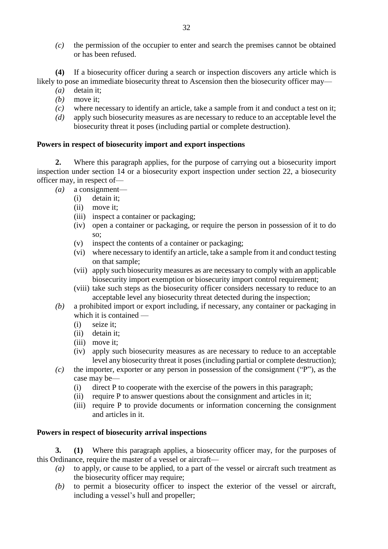*(c)* the permission of the occupier to enter and search the premises cannot be obtained or has been refused.

**(4)** If a biosecurity officer during a search or inspection discovers any article which is likely to pose an immediate biosecurity threat to Ascension then the biosecurity officer may—

- *(a)* detain it;
- *(b)* move it;
- *(c)* where necessary to identify an article, take a sample from it and conduct a test on it;
- *(d)* apply such biosecurity measures as are necessary to reduce to an acceptable level the biosecurity threat it poses (including partial or complete destruction).

## **Powers in respect of biosecurity import and export inspections**

**2.** Where this paragraph applies, for the purpose of carrying out a biosecurity import inspection under section 14 or a biosecurity export inspection under section 22, a biosecurity officer may, in respect of—

- *(a)* a consignment—
	- (i) detain it;
	- (ii) move it;
	- (iii) inspect a container or packaging;
	- (iv) open a container or packaging, or require the person in possession of it to do so;
	- (v) inspect the contents of a container or packaging;
	- (vi) where necessary to identify an article, take a sample from it and conduct testing on that sample;
	- (vii) apply such biosecurity measures as are necessary to comply with an applicable biosecurity import exemption or biosecurity import control requirement;
	- (viii) take such steps as the biosecurity officer considers necessary to reduce to an acceptable level any biosecurity threat detected during the inspection;
- *(b)* a prohibited import or export including, if necessary, any container or packaging in which it is contained —
	- (i) seize it;
	- (ii) detain it;
	- (iii) move it:
	- (iv) apply such biosecurity measures as are necessary to reduce to an acceptable level any biosecurity threat it poses (including partial or complete destruction);
- *(c)* the importer, exporter or any person in possession of the consignment ("P"), as the case may be—
	- (i) direct P to cooperate with the exercise of the powers in this paragraph;
	- (ii) require P to answer questions about the consignment and articles in it;
	- (iii) require P to provide documents or information concerning the consignment and articles in it.

## **Powers in respect of biosecurity arrival inspections**

**3. (1)** Where this paragraph applies, a biosecurity officer may, for the purposes of this Ordinance, require the master of a vessel or aircraft—

- *(a)* to apply, or cause to be applied, to a part of the vessel or aircraft such treatment as the biosecurity officer may require;
- *(b)* to permit a biosecurity officer to inspect the exterior of the vessel or aircraft, including a vessel's hull and propeller;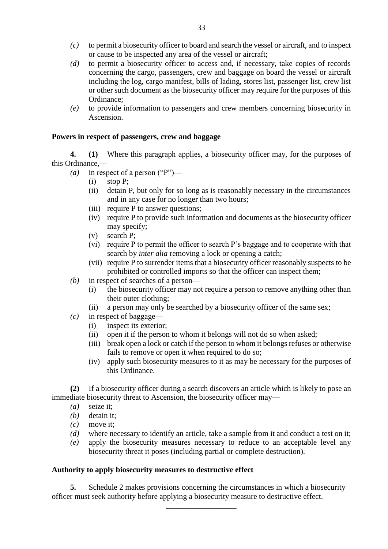- *(c)* to permit a biosecurity officer to board and search the vessel or aircraft, and to inspect or cause to be inspected any area of the vessel or aircraft;
- *(d)* to permit a biosecurity officer to access and, if necessary, take copies of records concerning the cargo, passengers, crew and baggage on board the vessel or aircraft including the log, cargo manifest, bills of lading, stores list, passenger list, crew list or other such document as the biosecurity officer may require for the purposes of this Ordinance;
- *(e)* to provide information to passengers and crew members concerning biosecurity in Ascension.

## **Powers in respect of passengers, crew and baggage**

**4. (1)** Where this paragraph applies, a biosecurity officer may, for the purposes of this Ordinance,—

- *(a)* in respect of a person ("P")—
	- (i) stop P;
	- (ii) detain P, but only for so long as is reasonably necessary in the circumstances and in any case for no longer than two hours;
	- (iii) require P to answer questions;
	- (iv) require P to provide such information and documents as the biosecurity officer may specify;
	- (v) search P;
	- (vi) require P to permit the officer to search P's baggage and to cooperate with that search by *inter alia* removing a lock or opening a catch;
	- (vii) require P to surrender items that a biosecurity officer reasonably suspects to be prohibited or controlled imports so that the officer can inspect them;
- *(b)* in respect of searches of a person—
	- (i) the biosecurity officer may not require a person to remove anything other than their outer clothing;
	- (ii) a person may only be searched by a biosecurity officer of the same sex;
- *(c)* in respect of baggage—
	- (i) inspect its exterior;
	- (ii) open it if the person to whom it belongs will not do so when asked;
	- (iii) break open a lock or catch if the person to whom it belongs refuses or otherwise fails to remove or open it when required to do so;
	- (iv) apply such biosecurity measures to it as may be necessary for the purposes of this Ordinance.

**(2)** If a biosecurity officer during a search discovers an article which is likely to pose an immediate biosecurity threat to Ascension, the biosecurity officer may—

- *(a)* seize it;
- *(b)* detain it;
- *(c)* move it;
- *(d)* where necessary to identify an article, take a sample from it and conduct a test on it;
- *(e)* apply the biosecurity measures necessary to reduce to an acceptable level any biosecurity threat it poses (including partial or complete destruction).

## **Authority to apply biosecurity measures to destructive effect**

**5.** Schedule 2 makes provisions concerning the circumstances in which a biosecurity officer must seek authority before applying a biosecurity measure to destructive effect.

\_\_\_\_\_\_\_\_\_\_\_\_\_\_\_\_\_\_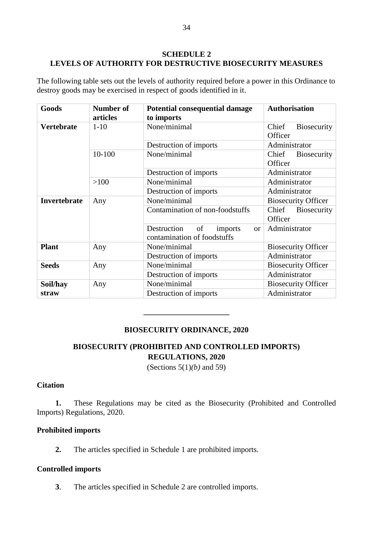## **SCHEDULE 2 LEVELS OF AUTHORITY FOR DESTRUCTIVE BIOSECURITY MEASURES**

The following table sets out the levels of authority required before a power in this Ordinance to destroy goods may be exercised in respect of goods identified in it.

| Goods             | <b>Number of</b><br>articles | Potential consequential damage<br>to imports                            | <b>Authorisation</b>                   |
|-------------------|------------------------------|-------------------------------------------------------------------------|----------------------------------------|
| <b>Vertebrate</b> | $1-10$                       | None/minimal                                                            | <b>Biosecurity</b><br>Chief<br>Officer |
|                   |                              | Destruction of imports                                                  | Administrator                          |
|                   | 10-100                       | None/minimal                                                            | Chief<br><b>Biosecurity</b><br>Officer |
|                   |                              | Destruction of imports                                                  | Administrator                          |
|                   | >100                         | None/minimal                                                            | Administrator                          |
|                   |                              | Destruction of imports                                                  | Administrator                          |
| Invertebrate      | Any                          | None/minimal                                                            | <b>Biosecurity Officer</b>             |
|                   |                              | Contamination of non-foodstuffs                                         | Chief<br><b>Biosecurity</b><br>Officer |
|                   |                              | Destruction<br>of<br>imports<br>$\alpha$<br>contamination of foodstuffs | Administrator                          |
| <b>Plant</b>      | Any                          | None/minimal                                                            | <b>Biosecurity Officer</b>             |
|                   |                              | Destruction of imports                                                  | Administrator                          |
| <b>Seeds</b>      | Any                          | None/minimal                                                            | <b>Biosecurity Officer</b>             |
|                   |                              | Destruction of imports                                                  | Administrator                          |
| Soil/hay          | Any                          | None/minimal                                                            | <b>Biosecurity Officer</b>             |
| straw             |                              | Destruction of imports                                                  | Administrator                          |

# **BIOSECURITY ORDINANCE, 2020**

**\_\_\_\_\_\_\_\_\_\_\_\_\_\_\_\_\_\_\_\_\_\_**

# **BIOSECURITY (PROHIBITED AND CONTROLLED IMPORTS) REGULATIONS, 2020**

(Sections 5(1)*(b)* and 59)

# **Citation**

**1.** These Regulations may be cited as the Biosecurity (Prohibited and Controlled Imports) Regulations, 2020.

## **Prohibited imports**

**2.** The articles specified in Schedule 1 are prohibited imports.

## **Controlled imports**

**3**. The articles specified in Schedule 2 are controlled imports.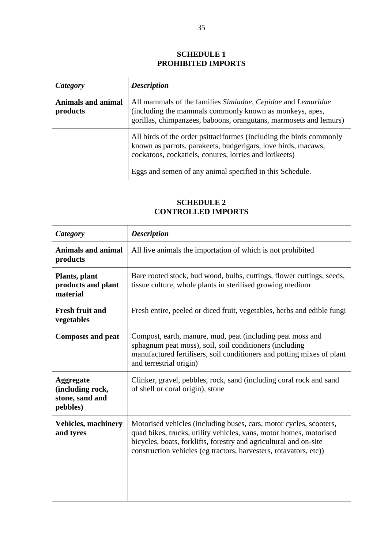## **SCHEDULE 1 PROHIBITED IMPORTS**

| Category                              | <b>Description</b>                                                                                                                                                                             |  |
|---------------------------------------|------------------------------------------------------------------------------------------------------------------------------------------------------------------------------------------------|--|
| <b>Animals and animal</b><br>products | All mammals of the families Simiadae, Cepidae and Lemuridae<br>(including the mammals commonly known as monkeys, apes,<br>gorillas, chimpanzees, baboons, orangutans, marmosets and lemurs)    |  |
|                                       | All birds of the order psittaciformes (including the birds commonly<br>known as parrots, parakeets, budgerigars, love birds, macaws,<br>cockatoos, cockatiels, conures, lorries and lorikeets) |  |
|                                       | Eggs and semen of any animal specified in this Schedule.                                                                                                                                       |  |

# **SCHEDULE 2 CONTROLLED IMPORTS**

| <b>Category</b>                                                     | <b>Description</b>                                                                                                                                                                                                                                                                 |  |  |
|---------------------------------------------------------------------|------------------------------------------------------------------------------------------------------------------------------------------------------------------------------------------------------------------------------------------------------------------------------------|--|--|
| <b>Animals and animal</b><br>products                               | All live animals the importation of which is not prohibited                                                                                                                                                                                                                        |  |  |
| Plants, plant<br>products and plant<br>material                     | Bare rooted stock, bud wood, bulbs, cuttings, flower cuttings, seeds,<br>tissue culture, whole plants in sterilised growing medium                                                                                                                                                 |  |  |
| <b>Fresh fruit and</b><br>vegetables                                | Fresh entire, peeled or diced fruit, vegetables, herbs and edible fungi                                                                                                                                                                                                            |  |  |
| <b>Composts and peat</b>                                            | Compost, earth, manure, mud, peat (including peat moss and<br>sphagnum peat moss), soil, soil conditioners (including<br>manufactured fertilisers, soil conditioners and potting mixes of plant<br>and terrestrial origin)                                                         |  |  |
| <b>Aggregate</b><br>(including rock,<br>stone, sand and<br>pebbles) | Clinker, gravel, pebbles, rock, sand (including coral rock and sand<br>of shell or coral origin), stone                                                                                                                                                                            |  |  |
| <b>Vehicles, machinery</b><br>and tyres                             | Motorised vehicles (including buses, cars, motor cycles, scooters,<br>quad bikes, trucks, utility vehicles, vans, motor homes, motorised<br>bicycles, boats, forklifts, forestry and agricultural and on-site<br>construction vehicles (eg tractors, harvesters, rotavators, etc)) |  |  |
|                                                                     |                                                                                                                                                                                                                                                                                    |  |  |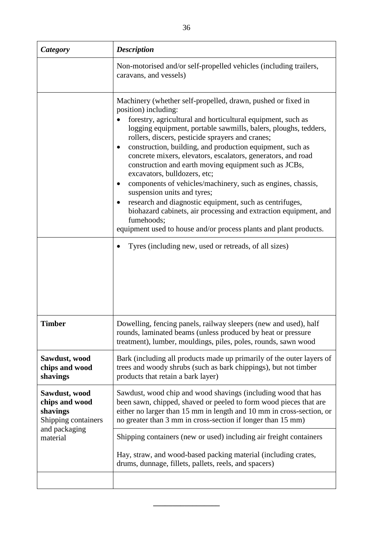| Category                                                           | <b>Description</b>                                                                                                                                                                                                                                                                                                                                                                                                                                                                                                                                                                                                                                                                                                                                                                                                                                                                          |  |  |
|--------------------------------------------------------------------|---------------------------------------------------------------------------------------------------------------------------------------------------------------------------------------------------------------------------------------------------------------------------------------------------------------------------------------------------------------------------------------------------------------------------------------------------------------------------------------------------------------------------------------------------------------------------------------------------------------------------------------------------------------------------------------------------------------------------------------------------------------------------------------------------------------------------------------------------------------------------------------------|--|--|
|                                                                    | Non-motorised and/or self-propelled vehicles (including trailers,<br>caravans, and vessels)                                                                                                                                                                                                                                                                                                                                                                                                                                                                                                                                                                                                                                                                                                                                                                                                 |  |  |
|                                                                    | Machinery (whether self-propelled, drawn, pushed or fixed in<br>position) including:<br>forestry, agricultural and horticultural equipment, such as<br>logging equipment, portable sawmills, balers, ploughs, tedders,<br>rollers, discers, pesticide sprayers and cranes;<br>construction, building, and production equipment, such as<br>$\bullet$<br>concrete mixers, elevators, escalators, generators, and road<br>construction and earth moving equipment such as JCBs,<br>excavators, bulldozers, etc;<br>components of vehicles/machinery, such as engines, chassis,<br>٠<br>suspension units and tyres;<br>research and diagnostic equipment, such as centrifuges,<br>biohazard cabinets, air processing and extraction equipment, and<br>fumehoods;<br>equipment used to house and/or process plants and plant products.<br>Tyres (including new, used or retreads, of all sizes) |  |  |
| <b>Timber</b>                                                      | Dowelling, fencing panels, railway sleepers (new and used), half<br>rounds, laminated beams (unless produced by heat or pressure<br>treatment), lumber, mouldings, piles, poles, rounds, sawn wood                                                                                                                                                                                                                                                                                                                                                                                                                                                                                                                                                                                                                                                                                          |  |  |
| Sawdust, wood<br>chips and wood<br>shavings                        | Bark (including all products made up primarily of the outer layers of<br>trees and woody shrubs (such as bark chippings), but not timber<br>products that retain a bark layer)                                                                                                                                                                                                                                                                                                                                                                                                                                                                                                                                                                                                                                                                                                              |  |  |
| Sawdust, wood<br>chips and wood<br>shavings<br>Shipping containers | Sawdust, wood chip and wood shavings (including wood that has<br>been sawn, chipped, shaved or peeled to form wood pieces that are<br>either no larger than 15 mm in length and 10 mm in cross-section, or<br>no greater than 3 mm in cross-section if longer than 15 mm)                                                                                                                                                                                                                                                                                                                                                                                                                                                                                                                                                                                                                   |  |  |
| and packaging<br>material                                          | Shipping containers (new or used) including air freight containers                                                                                                                                                                                                                                                                                                                                                                                                                                                                                                                                                                                                                                                                                                                                                                                                                          |  |  |
|                                                                    | Hay, straw, and wood-based packing material (including crates,<br>drums, dunnage, fillets, pallets, reels, and spacers)                                                                                                                                                                                                                                                                                                                                                                                                                                                                                                                                                                                                                                                                                                                                                                     |  |  |
|                                                                    |                                                                                                                                                                                                                                                                                                                                                                                                                                                                                                                                                                                                                                                                                                                                                                                                                                                                                             |  |  |

**\_\_\_\_\_\_\_\_\_\_\_\_\_\_\_\_\_**